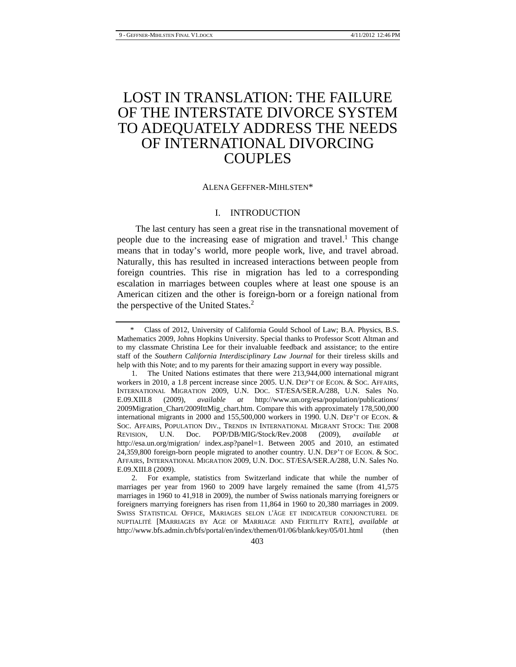# LOST IN TRANSLATION: THE FAILURE OF THE INTERSTATE DIVORCE SYSTEM TO ADEQUATELY ADDRESS THE NEEDS OF INTERNATIONAL DIVORCING COUPLES

#### ALENA GEFFNER-MIHLSTEN\*

## I. INTRODUCTION

The last century has seen a great rise in the transnational movement of people due to the increasing ease of migration and travel.<sup>1</sup> This change means that in today's world, more people work, live, and travel abroad. Naturally, this has resulted in increased interactions between people from foreign countries. This rise in migration has led to a corresponding escalation in marriages between couples where at least one spouse is an American citizen and the other is foreign-born or a foreign national from the perspective of the United States.<sup>2</sup>

Class of 2012, University of California Gould School of Law; B.A. Physics, B.S. Mathematics 2009, Johns Hopkins University. Special thanks to Professor Scott Altman and to my classmate Christina Lee for their invaluable feedback and assistance; to the entire staff of the *Southern California Interdisciplinary Law Journal* for their tireless skills and help with this Note; and to my parents for their amazing support in every way possible.

 <sup>1.</sup> The United Nations estimates that there were 213,944,000 international migrant workers in 2010, a 1.8 percent increase since 2005. U.N. DEP'T OF ECON. & SOC. AFFAIRS, INTERNATIONAL MIGRATION 2009, U.N. DOC. ST/ESA/SER.A/288, U.N. Sales No. E.09.XIII.8 (2009), *available at* http://www.un.org/esa/population/publications/ 2009Migration\_Chart/2009IttMig\_chart.htm. Compare this with approximately 178,500,000 international migrants in 2000 and 155,500,000 workers in 1990. U.N. DEP'T OF ECON. & SOC. AFFAIRS, POPULATION DIV., TRENDS IN INTERNATIONAL MIGRANT STOCK: THE 2008 REVISION, U.N. Doc. POP/DB/MIG/Stock/Rev.2008 (2009), *available at*  http://esa.un.org/migration/ index.asp?panel=1. Between 2005 and 2010, an estimated 24,359,800 foreign-born people migrated to another country. U.N. DEP'T OF ECON. & SOC. AFFAIRS, INTERNATIONAL MIGRATION 2009, U.N. DOC. ST/ESA/SER.A/288, U.N. Sales No. E.09.XIII.8 (2009).

 <sup>2.</sup> For example, statistics from Switzerland indicate that while the number of marriages per year from 1960 to 2009 have largely remained the same (from 41,575 marriages in 1960 to 41,918 in 2009), the number of Swiss nationals marrying foreigners or foreigners marrying foreigners has risen from 11,864 in 1960 to 20,380 marriages in 2009. SWISS STATISTICAL OFFICE, MARIAGES SELON L'ÂGE ET INDICATEUR CONJONCTUREL DE NUPTIALITÉ [MARRIAGES BY AGE OF MARRIAGE AND FERTILITY RATE], *available at* http://www.bfs.admin.ch/bfs/portal/en/index/themen/01/06/blank/key/05/01.html (then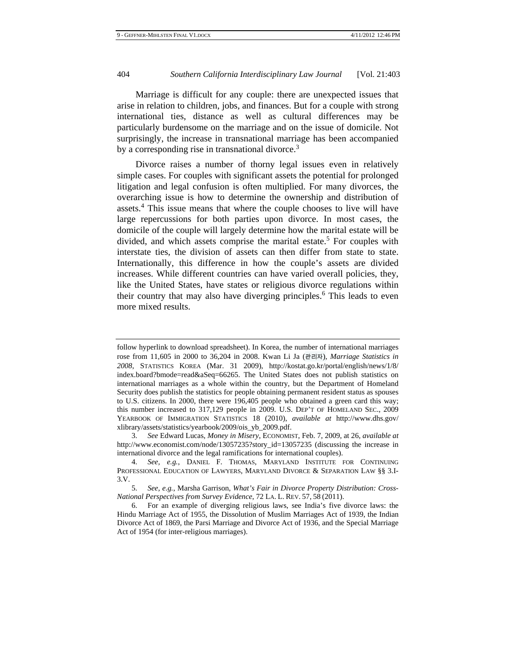Marriage is difficult for any couple: there are unexpected issues that arise in relation to children, jobs, and finances. But for a couple with strong international ties, distance as well as cultural differences may be particularly burdensome on the marriage and on the issue of domicile. Not surprisingly, the increase in transnational marriage has been accompanied by a corresponding rise in transnational divorce.<sup>3</sup>

Divorce raises a number of thorny legal issues even in relatively simple cases. For couples with significant assets the potential for prolonged litigation and legal confusion is often multiplied. For many divorces, the overarching issue is how to determine the ownership and distribution of assets.<sup>4</sup> This issue means that where the couple chooses to live will have large repercussions for both parties upon divorce. In most cases, the domicile of the couple will largely determine how the marital estate will be divided, and which assets comprise the marital estate.<sup>5</sup> For couples with interstate ties, the division of assets can then differ from state to state. Internationally, this difference in how the couple's assets are divided increases. While different countries can have varied overall policies, they, like the United States, have states or religious divorce regulations within their country that may also have diverging principles.<sup>6</sup> This leads to even more mixed results.

follow hyperlink to download spreadsheet). In Korea, the number of international marriages rose from 11,605 in 2000 to 36,204 in 2008. Kwan Li Ja (관리자), *Marriage Statistics in 2008*, STATISTICS KOREA (Mar. 31 2009), http://kostat.go.kr/portal/english/news/1/8/ index.board?bmode=read&aSeq=66265. The United States does not publish statistics on international marriages as a whole within the country, but the Department of Homeland Security does publish the statistics for people obtaining permanent resident status as spouses to U.S. citizens. In 2000, there were 196,405 people who obtained a green card this way; this number increased to 317,129 people in 2009. U.S. DEP'T OF HOMELAND SEC., 2009 YEARBOOK OF IMMIGRATION STATISTICS 18 (2010), *available at* http://www.dhs.gov/ xlibrary/assets/statistics/yearbook/2009/ois\_yb\_2009.pdf.

 <sup>3.</sup> *See* Edward Lucas, *Money in Misery*, ECONOMIST, Feb. 7, 2009, at 26, *available at*  http://www.economist.com/node/13057235?story\_id=13057235 (discussing the increase in international divorce and the legal ramifications for international couples).

 <sup>4.</sup> *See, e.g.*, DANIEL F. THOMAS, MARYLAND INSTITUTE FOR CONTINUING PROFESSIONAL EDUCATION OF LAWYERS, MARYLAND DIVORCE & SEPARATION LAW §§ 3.I-3.V.

 <sup>5.</sup> *See, e.g.*, Marsha Garrison, *What's Fair in Divorce Property Distribution: Cross-National Perspectives from Survey Evidence*, 72 LA. L. REV. 57, 58 (2011).

 <sup>6.</sup> For an example of diverging religious laws, see India's five divorce laws: the Hindu Marriage Act of 1955, the Dissolution of Muslim Marriages Act of 1939, the Indian Divorce Act of 1869, the Parsi Marriage and Divorce Act of 1936, and the Special Marriage Act of 1954 (for inter-religious marriages).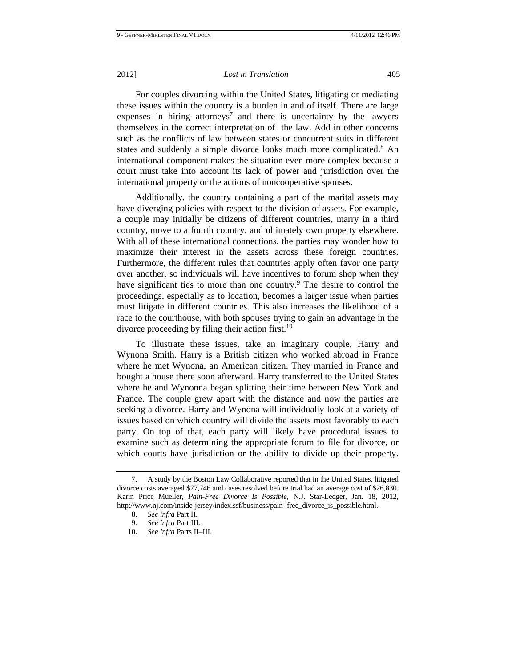For couples divorcing within the United States, litigating or mediating these issues within the country is a burden in and of itself. There are large expenses in hiring attorneys<sup>7</sup> and there is uncertainty by the lawyers themselves in the correct interpretation of the law. Add in other concerns such as the conflicts of law between states or concurrent suits in different states and suddenly a simple divorce looks much more complicated.<sup>8</sup> An international component makes the situation even more complex because a court must take into account its lack of power and jurisdiction over the international property or the actions of noncooperative spouses.

Additionally, the country containing a part of the marital assets may have diverging policies with respect to the division of assets. For example, a couple may initially be citizens of different countries, marry in a third country, move to a fourth country, and ultimately own property elsewhere. With all of these international connections, the parties may wonder how to maximize their interest in the assets across these foreign countries. Furthermore, the different rules that countries apply often favor one party over another, so individuals will have incentives to forum shop when they have significant ties to more than one country.<sup>9</sup> The desire to control the proceedings, especially as to location, becomes a larger issue when parties must litigate in different countries. This also increases the likelihood of a race to the courthouse, with both spouses trying to gain an advantage in the divorce proceeding by filing their action first. $10$ 

To illustrate these issues, take an imaginary couple, Harry and Wynona Smith. Harry is a British citizen who worked abroad in France where he met Wynona, an American citizen. They married in France and bought a house there soon afterward. Harry transferred to the United States where he and Wynonna began splitting their time between New York and France. The couple grew apart with the distance and now the parties are seeking a divorce. Harry and Wynona will individually look at a variety of issues based on which country will divide the assets most favorably to each party. On top of that, each party will likely have procedural issues to examine such as determining the appropriate forum to file for divorce, or which courts have jurisdiction or the ability to divide up their property.

 <sup>7.</sup> A study by the Boston Law Collaborative reported that in the United States, litigated divorce costs averaged \$77,746 and cases resolved before trial had an average cost of \$26,830. Karin Price Mueller, *Pain-Free Divorce Is Possible*, N.J. Star-Ledger, Jan. 18, 2012, http://www.nj.com/inside-jersey/index.ssf/business/pain- free\_divorce\_is\_possible.html.

 <sup>8.</sup> *See infra* Part II.

 <sup>9.</sup> *See infra* Part III.

 <sup>10.</sup> *See infra* Parts II–III.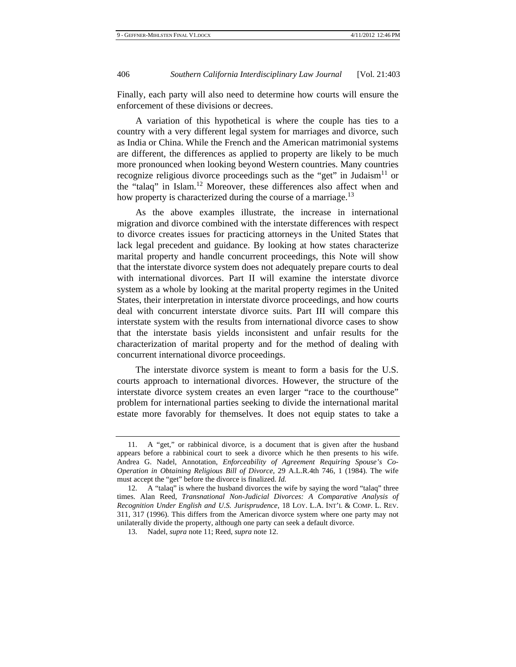Finally, each party will also need to determine how courts will ensure the enforcement of these divisions or decrees.

A variation of this hypothetical is where the couple has ties to a country with a very different legal system for marriages and divorce, such as India or China. While the French and the American matrimonial systems are different, the differences as applied to property are likely to be much more pronounced when looking beyond Western countries. Many countries recognize religious divorce proceedings such as the "get" in Judaism<sup>11</sup> or the "talaq" in Islam.12 Moreover, these differences also affect when and how property is characterized during the course of a marriage.<sup>13</sup>

As the above examples illustrate, the increase in international migration and divorce combined with the interstate differences with respect to divorce creates issues for practicing attorneys in the United States that lack legal precedent and guidance. By looking at how states characterize marital property and handle concurrent proceedings, this Note will show that the interstate divorce system does not adequately prepare courts to deal with international divorces. Part II will examine the interstate divorce system as a whole by looking at the marital property regimes in the United States, their interpretation in interstate divorce proceedings, and how courts deal with concurrent interstate divorce suits. Part III will compare this interstate system with the results from international divorce cases to show that the interstate basis yields inconsistent and unfair results for the characterization of marital property and for the method of dealing with concurrent international divorce proceedings.

The interstate divorce system is meant to form a basis for the U.S. courts approach to international divorces. However, the structure of the interstate divorce system creates an even larger "race to the courthouse" problem for international parties seeking to divide the international marital estate more favorably for themselves. It does not equip states to take a

 <sup>11.</sup> A "get," or rabbinical divorce, is a document that is given after the husband appears before a rabbinical court to seek a divorce which he then presents to his wife. Andrea G. Nadel, Annotation, *Enforceability of Agreement Requiring Spouse's Co-Operation in Obtaining Religious Bill of Divorce*, 29 A.L.R.4th 746, 1 (1984). The wife must accept the "get" before the divorce is finalized. *Id.*

 <sup>12.</sup> A "talaq" is where the husband divorces the wife by saying the word "talaq" three times. Alan Reed, *Transnational Non-Judicial Divorces: A Comparative Analysis of Recognition Under English and U.S. Jurisprudence*, 18 LOY. L.A. INT'L & COMP. L. REV. 311, 317 (1996). This differs from the American divorce system where one party may not unilaterally divide the property, although one party can seek a default divorce.

 <sup>13.</sup> Nadel, *supra* note 11; Reed, *supra* note 12.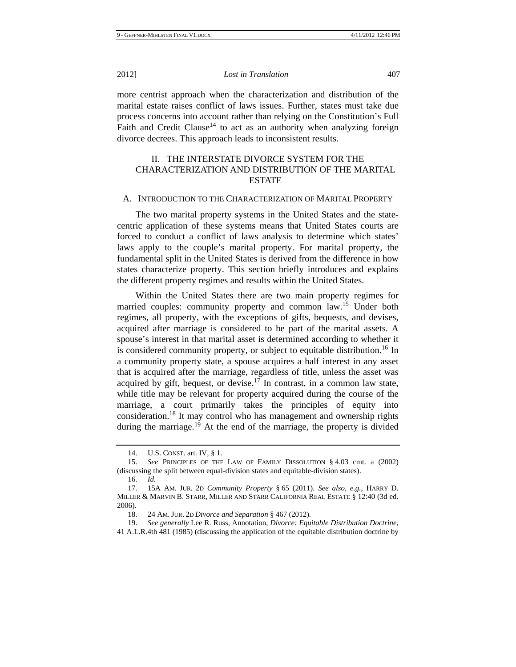more centrist approach when the characterization and distribution of the marital estate raises conflict of laws issues. Further, states must take due process concerns into account rather than relying on the Constitution's Full Faith and Credit Clause<sup>14</sup> to act as an authority when analyzing foreign divorce decrees. This approach leads to inconsistent results.

## II. THE INTERSTATE DIVORCE SYSTEM FOR THE CHARACTERIZATION AND DISTRIBUTION OF THE MARITAL ESTATE

## A. INTRODUCTION TO THE CHARACTERIZATION OF MARITAL PROPERTY

The two marital property systems in the United States and the statecentric application of these systems means that United States courts are forced to conduct a conflict of laws analysis to determine which states' laws apply to the couple's marital property. For marital property, the fundamental split in the United States is derived from the difference in how states characterize property. This section briefly introduces and explains the different property regimes and results within the United States.

Within the United States there are two main property regimes for married couples: community property and common law.<sup>15</sup> Under both regimes, all property, with the exceptions of gifts, bequests, and devises, acquired after marriage is considered to be part of the marital assets. A spouse's interest in that marital asset is determined according to whether it is considered community property, or subject to equitable distribution.<sup>16</sup> In a community property state, a spouse acquires a half interest in any asset that is acquired after the marriage, regardless of title, unless the asset was acquired by gift, bequest, or devise.<sup>17</sup> In contrast, in a common law state, while title may be relevant for property acquired during the course of the marriage, a court primarily takes the principles of equity into consideration.18 It may control who has management and ownership rights during the marriage.<sup>19</sup> At the end of the marriage, the property is divided

19. *See generally* Lee R. Russ, Annotation, *Divorce: Equitable Distribution Doctrine*,

 <sup>14.</sup> U.S. CONST. art. IV, § 1.

 <sup>15.</sup> *See* PRINCIPLES OF THE LAW OF FAMILY DISSOLUTION § 4.03 cmt. a (2002) (discussing the split between equal-division states and equitable-division states).

 <sup>16.</sup> *Id.*

 <sup>17. 15</sup>A AM. JUR. 2D *Community Property* § 65 (2011). *See also, e.g.*, HARRY D. MILLER & MARVIN B. STARR, MILLER AND STARR CALIFORNIA REAL ESTATE § 12:40 (3d ed. 2006).

 <sup>18. 24</sup> AM. JUR. 2D *Divorce and Separation* § 467 (2012).

<sup>41</sup> A.L.R.4th 481 (1985) (discussing the application of the equitable distribution doctrine by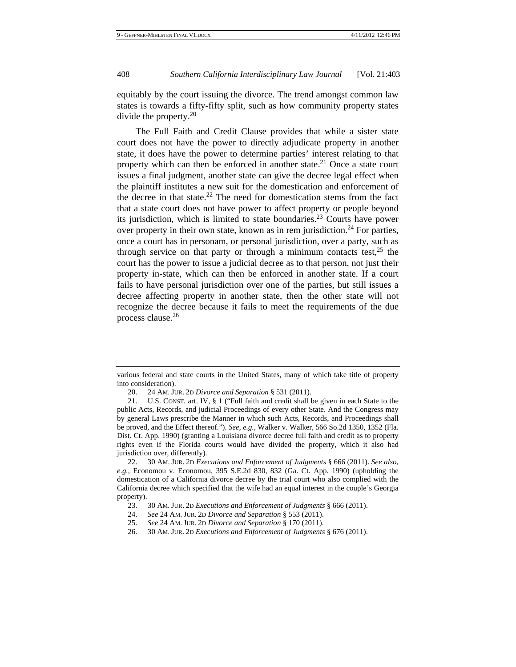equitably by the court issuing the divorce. The trend amongst common law states is towards a fifty-fifty split, such as how community property states divide the property.20

The Full Faith and Credit Clause provides that while a sister state court does not have the power to directly adjudicate property in another state, it does have the power to determine parties' interest relating to that property which can then be enforced in another state.<sup>21</sup> Once a state court issues a final judgment, another state can give the decree legal effect when the plaintiff institutes a new suit for the domestication and enforcement of the decree in that state.<sup>22</sup> The need for domestication stems from the fact that a state court does not have power to affect property or people beyond its jurisdiction, which is limited to state boundaries.<sup>23</sup> Courts have power over property in their own state, known as in rem jurisdiction.<sup>24</sup> For parties, once a court has in personam, or personal jurisdiction, over a party, such as through service on that party or through a minimum contacts test,  $2^5$  the court has the power to issue a judicial decree as to that person, not just their property in-state, which can then be enforced in another state. If a court fails to have personal jurisdiction over one of the parties, but still issues a decree affecting property in another state, then the other state will not recognize the decree because it fails to meet the requirements of the due process clause.<sup>26</sup>

various federal and state courts in the United States, many of which take title of property into consideration).

 <sup>20. 24</sup> AM. JUR. 2D *Divorce and Separation* § 531 (2011).

 <sup>21.</sup> U.S. CONST. art. IV, § 1 ("Full faith and credit shall be given in each State to the public Acts, Records, and judicial Proceedings of every other State. And the Congress may by general Laws prescribe the Manner in which such Acts, Records, and Proceedings shall be proved, and the Effect thereof."). *See, e.g.*, Walker v. Walker, 566 So.2d 1350, 1352 (Fla. Dist. Ct. App. 1990) (granting a Louisiana divorce decree full faith and credit as to property rights even if the Florida courts would have divided the property, which it also had jurisdiction over, differently).

 <sup>22. 30</sup> AM. JUR. 2D *Executions and Enforcement of Judgments* § 666 (2011). *See also, e.g.*, Economou v. Economou, 395 S.E.2d 830, 832 (Ga. Ct. App. 1990) (upholding the domestication of a California divorce decree by the trial court who also complied with the California decree which specified that the wife had an equal interest in the couple's Georgia property).

 <sup>23. 30</sup> AM. JUR. 2D *Executions and Enforcement of Judgments* § 666 (2011).

 <sup>24.</sup> *See* 24 AM. JUR. 2D *Divorce and Separation* § 553 (2011).

 <sup>25.</sup> *See* 24 AM. JUR. 2D *Divorce and Separation* § 170 (2011).

 <sup>26. 30</sup> AM. JUR. 2D *Executions and Enforcement of Judgments* § 676 (2011).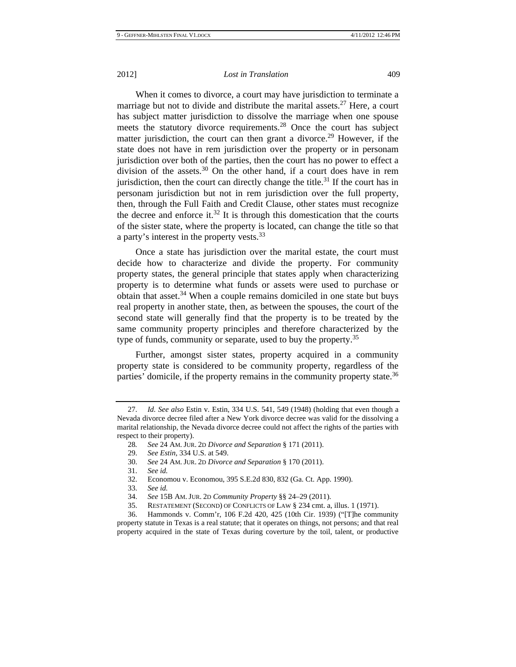When it comes to divorce, a court may have jurisdiction to terminate a marriage but not to divide and distribute the marital assets.<sup>27</sup> Here, a court has subject matter jurisdiction to dissolve the marriage when one spouse meets the statutory divorce requirements.<sup>28</sup> Once the court has subject matter jurisdiction, the court can then grant a divorce.<sup>29</sup> However, if the state does not have in rem jurisdiction over the property or in personam jurisdiction over both of the parties, then the court has no power to effect a division of the assets.<sup>30</sup> On the other hand, if a court does have in rem jurisdiction, then the court can directly change the title.<sup>31</sup> If the court has in personam jurisdiction but not in rem jurisdiction over the full property, then, through the Full Faith and Credit Clause, other states must recognize the decree and enforce it.<sup>32</sup> It is through this domestication that the courts of the sister state, where the property is located, can change the title so that a party's interest in the property vests.<sup>33</sup>

Once a state has jurisdiction over the marital estate, the court must decide how to characterize and divide the property. For community property states, the general principle that states apply when characterizing property is to determine what funds or assets were used to purchase or obtain that asset.<sup>34</sup> When a couple remains domiciled in one state but buys real property in another state, then, as between the spouses, the court of the second state will generally find that the property is to be treated by the same community property principles and therefore characterized by the type of funds, community or separate, used to buy the property.<sup>35</sup>

Further, amongst sister states, property acquired in a community property state is considered to be community property, regardless of the parties' domicile, if the property remains in the community property state.<sup>36</sup>

 <sup>27.</sup> *Id. See also* Estin v. Estin, 334 U.S. 541, 549 (1948) (holding that even though a Nevada divorce decree filed after a New York divorce decree was valid for the dissolving a marital relationship, the Nevada divorce decree could not affect the rights of the parties with respect to their property).

<sup>28</sup>*. See* 24 AM. JUR. 2D *Divorce and Separation* § 171 (2011).

 <sup>29.</sup> *See Estin*, 334 U.S. at 549.

 <sup>30.</sup> *See* 24 AM. JUR. 2D *Divorce and Separation* § 170 (2011).

 <sup>31.</sup> *See id.* 32. Economou v. Economou, 395 S.E.2d 830, 832 (Ga. Ct. App. 1990).

 <sup>33.</sup> *See id.*

 <sup>34.</sup> *See* 15B AM. JUR. 2D *Community Property* §§ 24–29 (2011).

 <sup>35.</sup> RESTATEMENT (SECOND) OF CONFLICTS OF LAW § 234 cmt. a, illus. 1 (1971).

 <sup>36.</sup> Hammonds v. Comm'r, 106 F.2d 420, 425 (10th Cir. 1939) ("[T]he community

property statute in Texas is a real statute; that it operates on things, not persons; and that real property acquired in the state of Texas during coverture by the toil, talent, or productive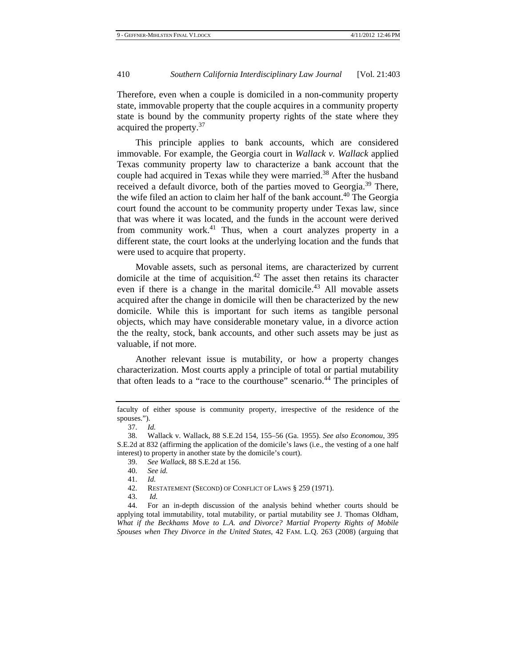Therefore, even when a couple is domiciled in a non-community property state, immovable property that the couple acquires in a community property state is bound by the community property rights of the state where they acquired the property.<sup>37</sup>

This principle applies to bank accounts, which are considered immovable. For example, the Georgia court in *Wallack v. Wallack* applied Texas community property law to characterize a bank account that the couple had acquired in Texas while they were married.<sup>38</sup> After the husband received a default divorce, both of the parties moved to Georgia.<sup>39</sup> There, the wife filed an action to claim her half of the bank account.<sup>40</sup> The Georgia court found the account to be community property under Texas law, since that was where it was located, and the funds in the account were derived from community work.<sup>41</sup> Thus, when a court analyzes property in a different state, the court looks at the underlying location and the funds that were used to acquire that property.

Movable assets, such as personal items, are characterized by current domicile at the time of acquisition.<sup>42</sup> The asset then retains its character even if there is a change in the marital domicile.<sup>43</sup> All movable assets acquired after the change in domicile will then be characterized by the new domicile. While this is important for such items as tangible personal objects, which may have considerable monetary value, in a divorce action the the realty, stock, bank accounts, and other such assets may be just as valuable, if not more.

Another relevant issue is mutability, or how a property changes characterization. Most courts apply a principle of total or partial mutability that often leads to a "race to the courthouse" scenario.<sup>44</sup> The principles of

faculty of either spouse is community property, irrespective of the residence of the spouses.").

 <sup>37.</sup> *Id.*

 <sup>38.</sup> Wallack v. Wallack, 88 S.E.2d 154, 155–56 (Ga. 1955). *See also Economou*, 395 S.E.2d at 832 (affirming the application of the domicile's laws (i.e., the vesting of a one half interest) to property in another state by the domicile's court).

 <sup>39.</sup> *See Wallack*, 88 S.E.2d at 156.

 <sup>40.</sup> *See id.*

 <sup>41.</sup> *Id.*

 <sup>42.</sup> RESTATEMENT (SECOND) OF CONFLICT OF LAWS § 259 (1971).

 <sup>43.</sup> *Id.*

 <sup>44.</sup> For an in-depth discussion of the analysis behind whether courts should be applying total immutability, total mutability, or partial mutability see J. Thomas Oldham, *What if the Beckhams Move to L.A. and Divorce? Martial Property Rights of Mobile Spouses when They Divorce in the United States*, 42 FAM. L.Q. 263 (2008) (arguing that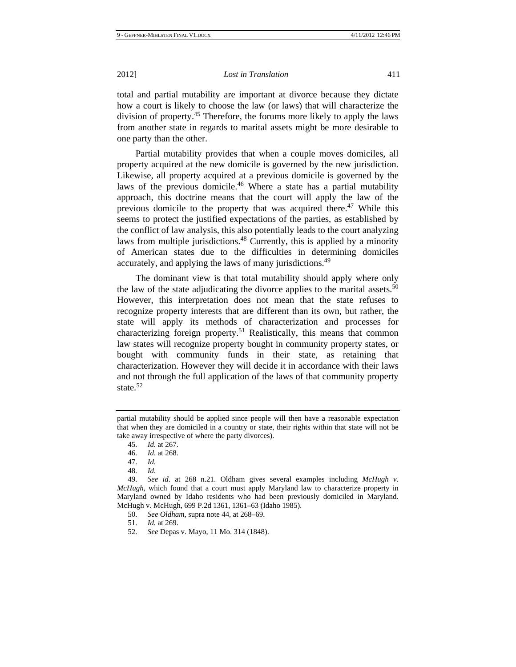total and partial mutability are important at divorce because they dictate how a court is likely to choose the law (or laws) that will characterize the division of property.45 Therefore, the forums more likely to apply the laws from another state in regards to marital assets might be more desirable to one party than the other.

Partial mutability provides that when a couple moves domiciles, all property acquired at the new domicile is governed by the new jurisdiction. Likewise, all property acquired at a previous domicile is governed by the laws of the previous domicile.<sup>46</sup> Where a state has a partial mutability approach, this doctrine means that the court will apply the law of the previous domicile to the property that was acquired there.<sup>47</sup> While this seems to protect the justified expectations of the parties, as established by the conflict of law analysis, this also potentially leads to the court analyzing laws from multiple jurisdictions.<sup>48</sup> Currently, this is applied by a minority of American states due to the difficulties in determining domiciles accurately, and applying the laws of many jurisdictions.<sup>49</sup>

The dominant view is that total mutability should apply where only the law of the state adjudicating the divorce applies to the marital assets.<sup>50</sup> However, this interpretation does not mean that the state refuses to recognize property interests that are different than its own, but rather, the state will apply its methods of characterization and processes for characterizing foreign property.<sup>51</sup> Realistically, this means that common law states will recognize property bought in community property states, or bought with community funds in their state, as retaining that characterization. However they will decide it in accordance with their laws and not through the full application of the laws of that community property state.<sup>52</sup>

partial mutability should be applied since people will then have a reasonable expectation that when they are domiciled in a country or state, their rights within that state will not be take away irrespective of where the party divorces).

 <sup>45.</sup> *Id.* at 267.

 <sup>46.</sup> *Id.* at 268.

 <sup>47.</sup> *Id.*

 <sup>48.</sup> *Id.*

 <sup>49.</sup> *See id*. at 268 n.21. Oldham gives several examples including *McHugh v. McHugh*, which found that a court must apply Maryland law to characterize property in Maryland owned by Idaho residents who had been previously domiciled in Maryland. McHugh v. McHugh, 699 P.2d 1361, 1361–63 (Idaho 1985).

 <sup>50.</sup> *See Oldham,* supra note 44, at 268–69.

 <sup>51.</sup> *Id.* at 269.

 <sup>52.</sup> *See* Depas v. Mayo, 11 Mo. 314 (1848).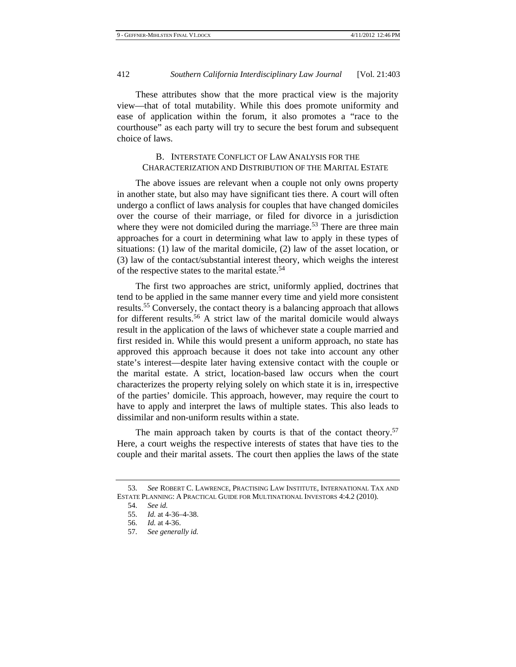These attributes show that the more practical view is the majority view—that of total mutability. While this does promote uniformity and ease of application within the forum, it also promotes a "race to the courthouse" as each party will try to secure the best forum and subsequent choice of laws.

## B. INTERSTATE CONFLICT OF LAW ANALYSIS FOR THE CHARACTERIZATION AND DISTRIBUTION OF THE MARITAL ESTATE

The above issues are relevant when a couple not only owns property in another state, but also may have significant ties there. A court will often undergo a conflict of laws analysis for couples that have changed domiciles over the course of their marriage, or filed for divorce in a jurisdiction where they were not domiciled during the marriage.<sup>53</sup> There are three main approaches for a court in determining what law to apply in these types of situations: (1) law of the marital domicile, (2) law of the asset location, or (3) law of the contact/substantial interest theory, which weighs the interest of the respective states to the marital estate.<sup>54</sup>

The first two approaches are strict, uniformly applied, doctrines that tend to be applied in the same manner every time and yield more consistent results.55 Conversely, the contact theory is a balancing approach that allows for different results.<sup>56</sup> A strict law of the marital domicile would always result in the application of the laws of whichever state a couple married and first resided in. While this would present a uniform approach, no state has approved this approach because it does not take into account any other state's interest—despite later having extensive contact with the couple or the marital estate. A strict, location-based law occurs when the court characterizes the property relying solely on which state it is in, irrespective of the parties' domicile. This approach, however, may require the court to have to apply and interpret the laws of multiple states. This also leads to dissimilar and non-uniform results within a state.

The main approach taken by courts is that of the contact theory.<sup>57</sup> Here, a court weighs the respective interests of states that have ties to the couple and their marital assets. The court then applies the laws of the state

 <sup>53.</sup> *See* ROBERT C. LAWRENCE, PRACTISING LAW INSTITUTE, INTERNATIONAL TAX AND ESTATE PLANNING: A PRACTICAL GUIDE FOR MULTINATIONAL INVESTORS 4:4.2 (2010).

 <sup>54.</sup> *See id.*

 <sup>55.</sup> *Id.* at 4-36–4-38.

 <sup>56.</sup> *Id.* at 4-36.

 <sup>57.</sup> *See generally id.*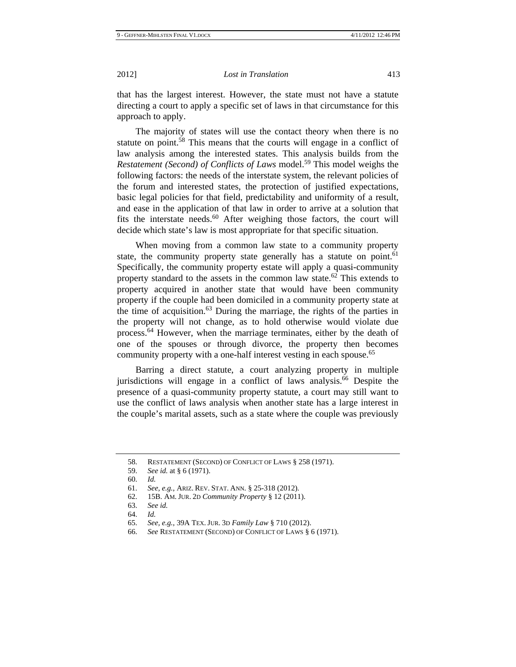that has the largest interest. However, the state must not have a statute directing a court to apply a specific set of laws in that circumstance for this approach to apply.

The majority of states will use the contact theory when there is no statute on point.<sup>58</sup> This means that the courts will engage in a conflict of law analysis among the interested states. This analysis builds from the *Restatement (Second) of Conflicts of Laws* model.<sup>59</sup> This model weighs the following factors: the needs of the interstate system, the relevant policies of the forum and interested states, the protection of justified expectations, basic legal policies for that field, predictability and uniformity of a result, and ease in the application of that law in order to arrive at a solution that fits the interstate needs. $60$  After weighing those factors, the court will decide which state's law is most appropriate for that specific situation.

When moving from a common law state to a community property state, the community property state generally has a statute on point.<sup>61</sup> Specifically, the community property estate will apply a quasi-community property standard to the assets in the common law state.<sup>62</sup> This extends to property acquired in another state that would have been community property if the couple had been domiciled in a community property state at the time of acquisition.<sup>63</sup> During the marriage, the rights of the parties in the property will not change, as to hold otherwise would violate due process.64 However, when the marriage terminates, either by the death of one of the spouses or through divorce, the property then becomes community property with a one-half interest vesting in each spouse.<sup>65</sup>

Barring a direct statute, a court analyzing property in multiple jurisdictions will engage in a conflict of laws analysis.<sup>66</sup> Despite the presence of a quasi-community property statute, a court may still want to use the conflict of laws analysis when another state has a large interest in the couple's marital assets, such as a state where the couple was previously

66. *See* RESTATEMENT (SECOND) OF CONFLICT OF LAWS § 6 (1971).

 <sup>58.</sup> RESTATEMENT (SECOND) OF CONFLICT OF LAWS § 258 (1971).

 <sup>59.</sup> *See id.* at § 6 (1971).

 <sup>60.</sup> *Id.*

 <sup>61.</sup> *See, e.g.*, ARIZ. REV. STAT. ANN. § 25-318 (2012).

 <sup>62. 15</sup>B. AM. JUR. 2D *Community Property* § 12 (2011).

 <sup>63.</sup> *See id.*

 <sup>64.</sup> *Id.* 

 <sup>65.</sup> *See, e.g.*, 39A TEX. JUR. 3D *Family Law* § 710 (2012).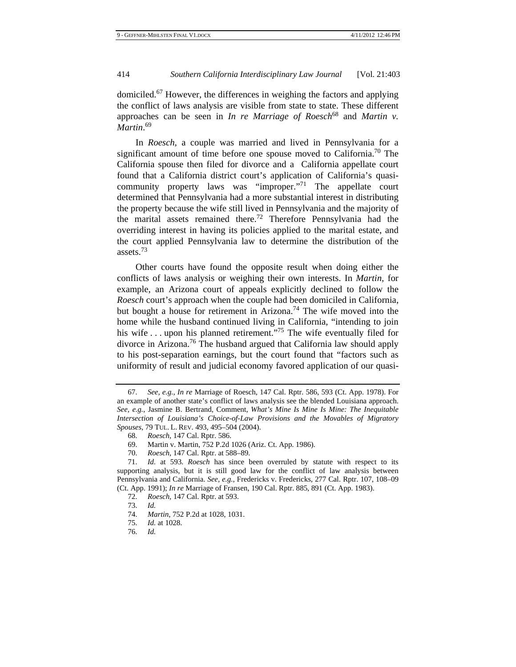domiciled.67 However, the differences in weighing the factors and applying the conflict of laws analysis are visible from state to state. These different approaches can be seen in *In re Marriage of Roesch*<sup>68</sup> and *Martin v. Martin*. 69

In *Roesch*, a couple was married and lived in Pennsylvania for a significant amount of time before one spouse moved to California.<sup>70</sup> The California spouse then filed for divorce and a California appellate court found that a California district court's application of California's quasicommunity property laws was "improper."<sup>71</sup> The appellate court determined that Pennsylvania had a more substantial interest in distributing the property because the wife still lived in Pennsylvania and the majority of the marital assets remained there.72 Therefore Pennsylvania had the overriding interest in having its policies applied to the marital estate, and the court applied Pennsylvania law to determine the distribution of the assets.<sup>73</sup>

Other courts have found the opposite result when doing either the conflicts of laws analysis or weighing their own interests. In *Martin,* for example, an Arizona court of appeals explicitly declined to follow the *Roesch* court's approach when the couple had been domiciled in California, but bought a house for retirement in Arizona.74 The wife moved into the home while the husband continued living in California, "intending to join his wife  $\dots$  upon his planned retirement."<sup>75</sup> The wife eventually filed for divorce in Arizona.76 The husband argued that California law should apply to his post-separation earnings, but the court found that "factors such as uniformity of result and judicial economy favored application of our quasi-

 <sup>67.</sup> *See, e.g.*, *In re* Marriage of Roesch, 147 Cal. Rptr. 586, 593 (Ct. App. 1978). For an example of another state's conflict of laws analysis see the blended Louisiana approach. *See, e.g.*, Jasmine B. Bertrand, Comment, *What's Mine Is Mine Is Mine: The Inequitable Intersection of Louisiana's Choice-of-Law Provisions and the Movables of Migratory Spouses*, 79 TUL. L. REV. 493, 495–504 (2004).

 <sup>68.</sup> *Roesch*, 147 Cal. Rptr. 586.

 <sup>69.</sup> Martin v. Martin, 752 P.2d 1026 (Ariz. Ct. App. 1986).

 <sup>70.</sup> *Roesch*, 147 Cal. Rptr. at 588–89.

 <sup>71.</sup> *Id.* at 593. *Roesch* has since been overruled by statute with respect to its supporting analysis, but it is still good law for the conflict of law analysis between Pennsylvania and California. *See, e.g.*, Fredericks v. Fredericks, 277 Cal. Rptr. 107, 108–09 (Ct. App. 1991); *In re* Marriage of Fransen, 190 Cal. Rptr. 885, 891 (Ct. App. 1983).

 <sup>72.</sup> *Roesch,* 147 Cal. Rptr. at 593.

 <sup>73.</sup> *Id.*

 <sup>74.</sup> *Martin*, 752 P.2d at 1028, 1031.

 <sup>75.</sup> *Id.* at 1028.

 <sup>76.</sup> *Id.*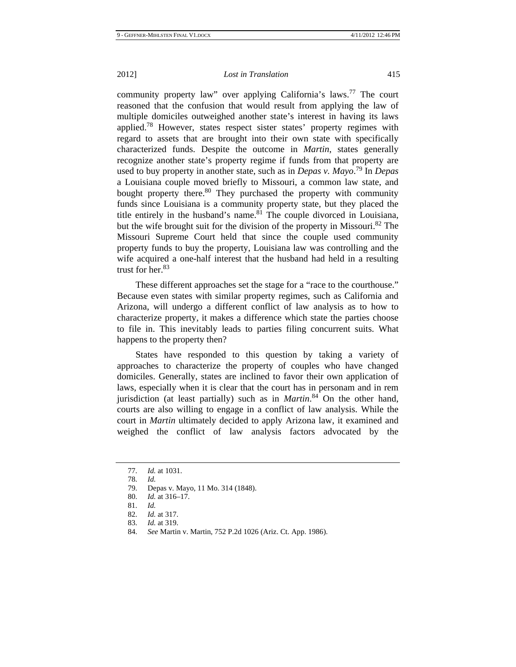community property law" over applying California's laws.<sup>77</sup> The court reasoned that the confusion that would result from applying the law of multiple domiciles outweighed another state's interest in having its laws applied.<sup>78</sup> However, states respect sister states' property regimes with regard to assets that are brought into their own state with specifically characterized funds. Despite the outcome in *Martin*, states generally recognize another state's property regime if funds from that property are used to buy property in another state, such as in *Depas v. Mayo*. 79 In *Depas* a Louisiana couple moved briefly to Missouri, a common law state, and bought property there. $80$  They purchased the property with community funds since Louisiana is a community property state, but they placed the title entirely in the husband's name. $81$  The couple divorced in Louisiana, but the wife brought suit for the division of the property in Missouri.<sup>82</sup> The Missouri Supreme Court held that since the couple used community property funds to buy the property, Louisiana law was controlling and the wife acquired a one-half interest that the husband had held in a resulting trust for her. $83$ 

These different approaches set the stage for a "race to the courthouse." Because even states with similar property regimes, such as California and Arizona, will undergo a different conflict of law analysis as to how to characterize property, it makes a difference which state the parties choose to file in. This inevitably leads to parties filing concurrent suits. What happens to the property then?

States have responded to this question by taking a variety of approaches to characterize the property of couples who have changed domiciles. Generally, states are inclined to favor their own application of laws, especially when it is clear that the court has in personam and in rem jurisdiction (at least partially) such as in *Martin*. 84 On the other hand, courts are also willing to engage in a conflict of law analysis. While the court in *Martin* ultimately decided to apply Arizona law, it examined and weighed the conflict of law analysis factors advocated by the

 <sup>77.</sup> *Id.* at 1031.

 <sup>78.</sup> *Id.*

 <sup>79.</sup> Depas v. Mayo, 11 Mo. 314 (1848).

 <sup>80.</sup> *Id.* at 316–17.

 <sup>81.</sup> *Id.*

 <sup>82.</sup> *Id.* at 317.

 <sup>83.</sup> *Id.* at 319.

 <sup>84.</sup> *See* Martin v. Martin, 752 P.2d 1026 (Ariz. Ct. App. 1986).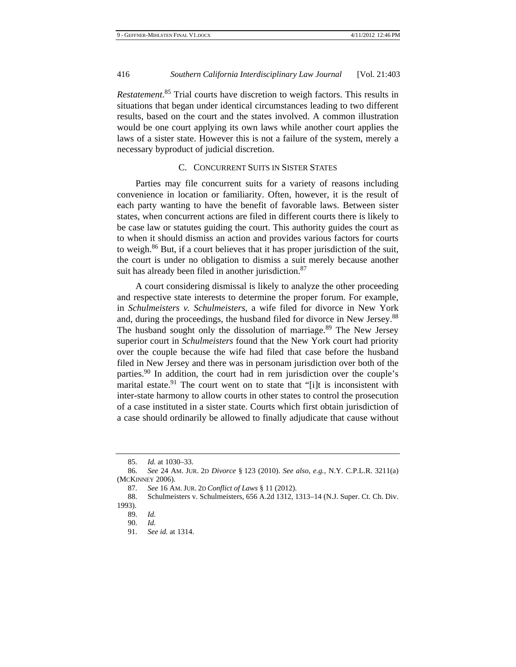*Restatement*. 85 Trial courts have discretion to weigh factors. This results in situations that began under identical circumstances leading to two different results, based on the court and the states involved. A common illustration would be one court applying its own laws while another court applies the laws of a sister state. However this is not a failure of the system, merely a necessary byproduct of judicial discretion.

## C. CONCURRENT SUITS IN SISTER STATES

Parties may file concurrent suits for a variety of reasons including convenience in location or familiarity. Often, however, it is the result of each party wanting to have the benefit of favorable laws. Between sister states, when concurrent actions are filed in different courts there is likely to be case law or statutes guiding the court. This authority guides the court as to when it should dismiss an action and provides various factors for courts to weigh.<sup>86</sup> But, if a court believes that it has proper jurisdiction of the suit, the court is under no obligation to dismiss a suit merely because another suit has already been filed in another jurisdiction.<sup>87</sup>

A court considering dismissal is likely to analyze the other proceeding and respective state interests to determine the proper forum. For example, in *Schulmeisters v. Schulmeisters*, a wife filed for divorce in New York and, during the proceedings, the husband filed for divorce in New Jersey.<sup>88</sup> The husband sought only the dissolution of marriage.<sup>89</sup> The New Jersey superior court in *Schulmeisters* found that the New York court had priority over the couple because the wife had filed that case before the husband filed in New Jersey and there was in personam jurisdiction over both of the parties.<sup>90</sup> In addition, the court had in rem jurisdiction over the couple's marital estate.<sup>91</sup> The court went on to state that "[i]t is inconsistent with inter-state harmony to allow courts in other states to control the prosecution of a case instituted in a sister state. Courts which first obtain jurisdiction of a case should ordinarily be allowed to finally adjudicate that cause without

 <sup>85.</sup> *Id.* at 1030–33.

 <sup>86.</sup> *See* 24 AM. JUR. 2D *Divorce* § 123 (2010). *See also, e.g.*, N.Y. C.P.L.R. 3211(a) (MCKINNEY 2006).

 <sup>87.</sup> *See* 16 AM. JUR. 2D *Conflict of Laws* § 11 (2012).

 <sup>88.</sup> Schulmeisters v. Schulmeisters, 656 A.2d 1312, 1313–14 (N.J. Super. Ct. Ch. Div. 1993).

 <sup>89.</sup> *Id.*

 <sup>90.</sup> *Id.* 

 <sup>91.</sup> *See id.* at 1314.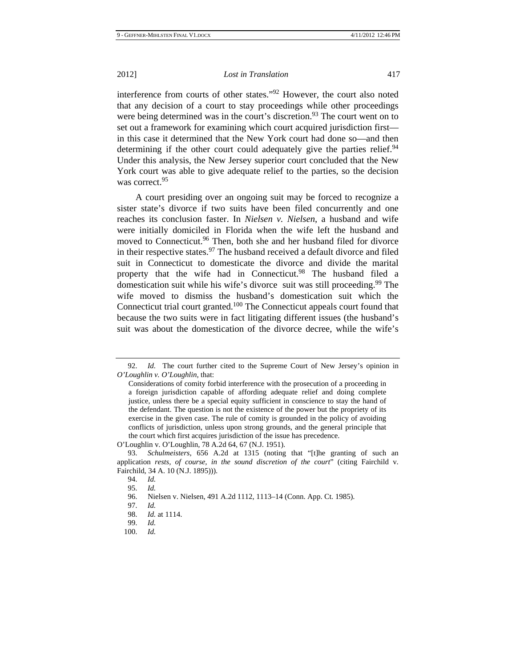interference from courts of other states."92 However, the court also noted that any decision of a court to stay proceedings while other proceedings were being determined was in the court's discretion.<sup>93</sup> The court went on to set out a framework for examining which court acquired jurisdiction first in this case it determined that the New York court had done so—and then determining if the other court could adequately give the parties relief.<sup>94</sup> Under this analysis, the New Jersey superior court concluded that the New York court was able to give adequate relief to the parties, so the decision was correct.<sup>95</sup>

A court presiding over an ongoing suit may be forced to recognize a sister state's divorce if two suits have been filed concurrently and one reaches its conclusion faster. In *Nielsen v. Nielsen*, a husband and wife were initially domiciled in Florida when the wife left the husband and moved to Connecticut.<sup>96</sup> Then, both she and her husband filed for divorce in their respective states.<sup>97</sup> The husband received a default divorce and filed suit in Connecticut to domesticate the divorce and divide the marital property that the wife had in Connecticut.<sup>98</sup> The husband filed a domestication suit while his wife's divorce suit was still proceeding.<sup>99</sup> The wife moved to dismiss the husband's domestication suit which the Connecticut trial court granted.100 The Connecticut appeals court found that because the two suits were in fact litigating different issues (the husband's suit was about the domestication of the divorce decree, while the wife's

 <sup>92.</sup> *Id.* The court further cited to the Supreme Court of New Jersey's opinion in *O'Loughlin v. O'Loughlin*, that:

Considerations of comity forbid interference with the prosecution of a proceeding in a foreign jurisdiction capable of affording adequate relief and doing complete justice, unless there be a special equity sufficient in conscience to stay the hand of the defendant. The question is not the existence of the power but the propriety of its exercise in the given case. The rule of comity is grounded in the policy of avoiding conflicts of jurisdiction, unless upon strong grounds, and the general principle that the court which first acquires jurisdiction of the issue has precedence.

O'Loughlin v. O'Loughlin, 78 A.2d 64, 67 (N.J. 1951).

 <sup>93.</sup> *Schulmeisters*, 656 A.2d at 1315 (noting that "[t]he granting of such an application *rests, of course, in the sound discretion of the court*" (citing Fairchild v. Fairchild, 34 A. 10 (N.J. 1895))).

 <sup>94.</sup> *Id.*

 <sup>95.</sup> *Id.*

 <sup>96.</sup> Nielsen v. Nielsen, 491 A.2d 1112, 1113–14 (Conn. App. Ct. 1985).

 <sup>97.</sup> *Id.* 

 <sup>98.</sup> *Id.* at 1114.

 <sup>99.</sup> *Id.*

 <sup>100.</sup> *Id.*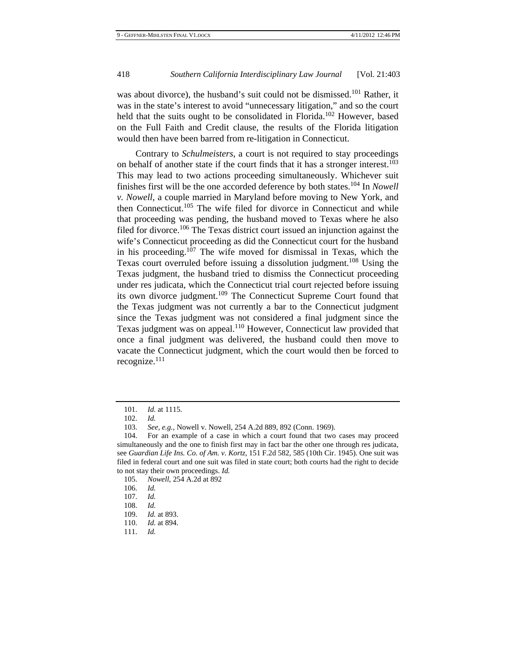was about divorce), the husband's suit could not be dismissed.<sup>101</sup> Rather, it was in the state's interest to avoid "unnecessary litigation," and so the court held that the suits ought to be consolidated in Florida.<sup>102</sup> However, based on the Full Faith and Credit clause, the results of the Florida litigation would then have been barred from re-litigation in Connecticut.

Contrary to *Schulmeisters*, a court is not required to stay proceedings on behalf of another state if the court finds that it has a stronger interest.<sup>103</sup> This may lead to two actions proceeding simultaneously. Whichever suit finishes first will be the one accorded deference by both states.104 In *Nowell v. Nowell*, a couple married in Maryland before moving to New York, and then Connecticut.<sup>105</sup> The wife filed for divorce in Connecticut and while that proceeding was pending, the husband moved to Texas where he also filed for divorce.106 The Texas district court issued an injunction against the wife's Connecticut proceeding as did the Connecticut court for the husband in his proceeding.<sup>107</sup> The wife moved for dismissal in Texas, which the Texas court overruled before issuing a dissolution judgment.<sup>108</sup> Using the Texas judgment, the husband tried to dismiss the Connecticut proceeding under res judicata, which the Connecticut trial court rejected before issuing its own divorce judgment.<sup>109</sup> The Connecticut Supreme Court found that the Texas judgment was not currently a bar to the Connecticut judgment since the Texas judgment was not considered a final judgment since the Texas judgment was on appeal.<sup>110</sup> However, Connecticut law provided that once a final judgment was delivered, the husband could then move to vacate the Connecticut judgment, which the court would then be forced to recognize. $111$ 

105. *Nowell*, 254 A.2d at 892

 <sup>101.</sup> *Id.* at 1115.

 <sup>102.</sup> *Id.* 

 <sup>103.</sup> *See, e.g.*, Nowell v. Nowell, 254 A.2d 889, 892 (Conn. 1969).

 <sup>104.</sup> For an example of a case in which a court found that two cases may proceed simultaneously and the one to finish first may in fact bar the other one through res judicata, see *Guardian Life Ins. Co. of Am. v. Kortz*, 151 F.2d 582, 585 (10th Cir. 1945). One suit was filed in federal court and one suit was filed in state court; both courts had the right to decide to not stay their own proceedings. *Id.*

 <sup>106.</sup> *Id.*

 <sup>107.</sup> *Id.*

 <sup>108.</sup> *Id.*

 <sup>109.</sup> *Id.* at 893.

 <sup>110.</sup> *Id.* at 894.

 <sup>111.</sup> *Id.*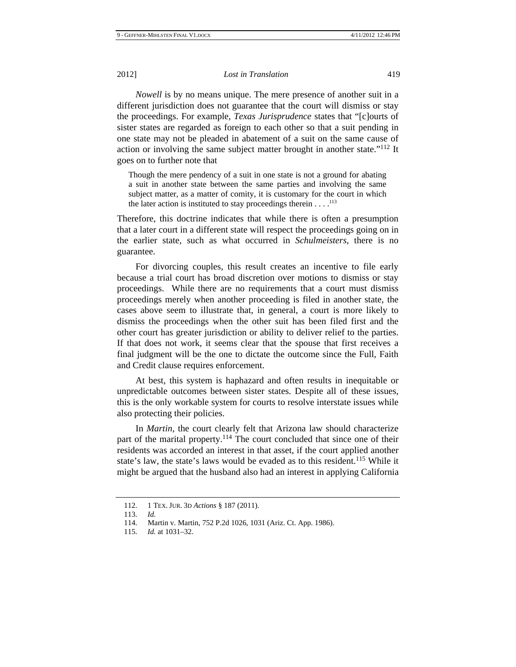*Nowell* is by no means unique. The mere presence of another suit in a different jurisdiction does not guarantee that the court will dismiss or stay the proceedings. For example, *Texas Jurisprudence* states that "[c]ourts of sister states are regarded as foreign to each other so that a suit pending in one state may not be pleaded in abatement of a suit on the same cause of action or involving the same subject matter brought in another state."<sup>112</sup> It goes on to further note that

Though the mere pendency of a suit in one state is not a ground for abating a suit in another state between the same parties and involving the same subject matter, as a matter of comity, it is customary for the court in which the later action is instituted to stay proceedings therein  $\dots$ .<sup>113</sup>

Therefore, this doctrine indicates that while there is often a presumption that a later court in a different state will respect the proceedings going on in the earlier state, such as what occurred in *Schulmeisters*, there is no guarantee.

For divorcing couples, this result creates an incentive to file early because a trial court has broad discretion over motions to dismiss or stay proceedings. While there are no requirements that a court must dismiss proceedings merely when another proceeding is filed in another state, the cases above seem to illustrate that, in general, a court is more likely to dismiss the proceedings when the other suit has been filed first and the other court has greater jurisdiction or ability to deliver relief to the parties. If that does not work, it seems clear that the spouse that first receives a final judgment will be the one to dictate the outcome since the Full, Faith and Credit clause requires enforcement.

At best, this system is haphazard and often results in inequitable or unpredictable outcomes between sister states. Despite all of these issues, this is the only workable system for courts to resolve interstate issues while also protecting their policies.

In *Martin*, the court clearly felt that Arizona law should characterize part of the marital property.<sup>114</sup> The court concluded that since one of their residents was accorded an interest in that asset, if the court applied another state's law, the state's laws would be evaded as to this resident.<sup>115</sup> While it might be argued that the husband also had an interest in applying California

 <sup>112. 1</sup> TEX. JUR. 3D *Actions* § 187 (2011).

 <sup>113.</sup> *Id.*

 <sup>114.</sup> Martin v. Martin, 752 P.2d 1026, 1031 (Ariz. Ct. App. 1986).

 <sup>115.</sup> *Id.* at 1031–32.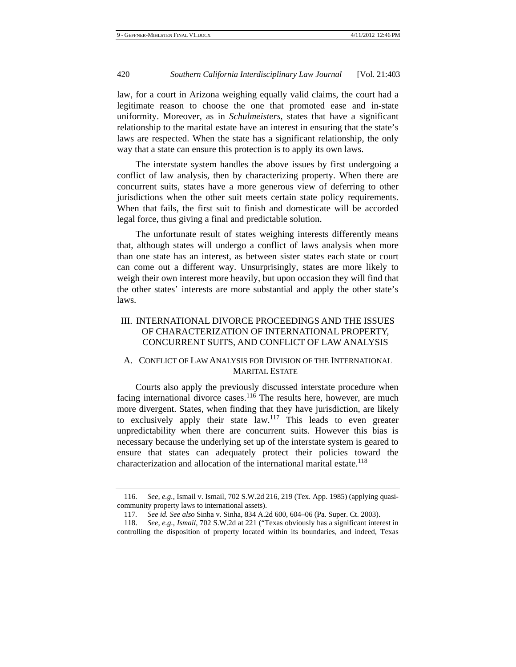law, for a court in Arizona weighing equally valid claims, the court had a legitimate reason to choose the one that promoted ease and in-state uniformity. Moreover, as in *Schulmeisters*, states that have a significant relationship to the marital estate have an interest in ensuring that the state's laws are respected. When the state has a significant relationship, the only way that a state can ensure this protection is to apply its own laws.

The interstate system handles the above issues by first undergoing a conflict of law analysis, then by characterizing property. When there are concurrent suits, states have a more generous view of deferring to other jurisdictions when the other suit meets certain state policy requirements. When that fails, the first suit to finish and domesticate will be accorded legal force, thus giving a final and predictable solution.

The unfortunate result of states weighing interests differently means that, although states will undergo a conflict of laws analysis when more than one state has an interest, as between sister states each state or court can come out a different way. Unsurprisingly, states are more likely to weigh their own interest more heavily, but upon occasion they will find that the other states' interests are more substantial and apply the other state's laws.

## III. INTERNATIONAL DIVORCE PROCEEDINGS AND THE ISSUES OF CHARACTERIZATION OF INTERNATIONAL PROPERTY, CONCURRENT SUITS, AND CONFLICT OF LAW ANALYSIS

## A. CONFLICT OF LAW ANALYSIS FOR DIVISION OF THE INTERNATIONAL MARITAL ESTATE

Courts also apply the previously discussed interstate procedure when facing international divorce cases.<sup>116</sup> The results here, however, are much more divergent. States, when finding that they have jurisdiction, are likely to exclusively apply their state  $\text{law}$ .<sup>117</sup> This leads to even greater unpredictability when there are concurrent suits. However this bias is necessary because the underlying set up of the interstate system is geared to ensure that states can adequately protect their policies toward the characterization and allocation of the international marital estate.<sup>118</sup>

 <sup>116.</sup> *See, e.g.*, Ismail v. Ismail, 702 S.W.2d 216, 219 (Tex. App. 1985) (applying quasicommunity property laws to international assets).

<sup>117</sup>*. See id. See also* Sinha v. Sinha, 834 A.2d 600, 604–06 (Pa. Super. Ct. 2003).

 <sup>118.</sup> *See, e.g.*, *Ismail*, 702 S.W.2d at 221 ("Texas obviously has a significant interest in controlling the disposition of property located within its boundaries, and indeed, Texas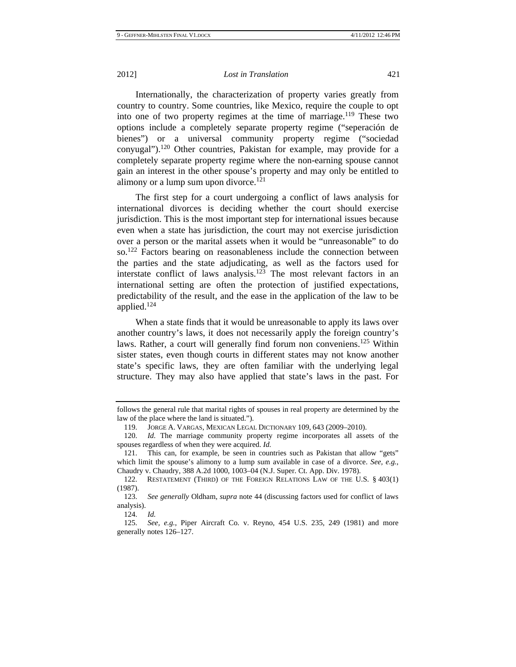Internationally, the characterization of property varies greatly from country to country. Some countries, like Mexico, require the couple to opt into one of two property regimes at the time of marriage.<sup>119</sup> These two options include a completely separate property regime ("seperación de bienes") or a universal community property regime ("sociedad conyugal").120 Other countries, Pakistan for example, may provide for a completely separate property regime where the non-earning spouse cannot gain an interest in the other spouse's property and may only be entitled to alimony or a lump sum upon divorce. $121$ 

The first step for a court undergoing a conflict of laws analysis for international divorces is deciding whether the court should exercise jurisdiction. This is the most important step for international issues because even when a state has jurisdiction, the court may not exercise jurisdiction over a person or the marital assets when it would be "unreasonable" to do so.<sup>122</sup> Factors bearing on reasonableness include the connection between the parties and the state adjudicating, as well as the factors used for interstate conflict of laws analysis.123 The most relevant factors in an international setting are often the protection of justified expectations, predictability of the result, and the ease in the application of the law to be applied.124

When a state finds that it would be unreasonable to apply its laws over another country's laws, it does not necessarily apply the foreign country's laws. Rather, a court will generally find forum non conveniens.<sup>125</sup> Within sister states, even though courts in different states may not know another state's specific laws, they are often familiar with the underlying legal structure. They may also have applied that state's laws in the past. For

follows the general rule that marital rights of spouses in real property are determined by the law of the place where the land is situated.").

 <sup>119.</sup> JORGE A. VARGAS, MEXICAN LEGAL DICTIONARY 109, 643 (2009–2010).

 <sup>120.</sup> *Id.* The marriage community property regime incorporates all assets of the spouses regardless of when they were acquired. *Id.* 

 <sup>121.</sup> This can, for example, be seen in countries such as Pakistan that allow "gets" which limit the spouse's alimony to a lump sum available in case of a divorce. *See, e.g.*, Chaudry v. Chaudry, 388 A.2d 1000, 1003–04 (N.J. Super. Ct. App. Div. 1978).

 <sup>122.</sup> RESTATEMENT (THIRD) OF THE FOREIGN RELATIONS LAW OF THE U.S. § 403(1) (1987).

 <sup>123.</sup> *See generally* Oldham, *supra* note 44 (discussing factors used for conflict of laws analysis).

 <sup>124.</sup> *Id.*

 <sup>125.</sup> *See, e.g.*, Piper Aircraft Co. v. Reyno, 454 U.S. 235, 249 (1981) and more generally notes 126–127.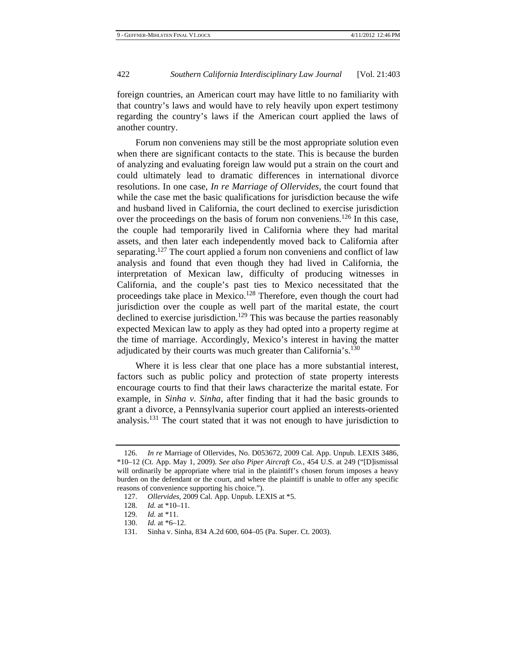foreign countries, an American court may have little to no familiarity with that country's laws and would have to rely heavily upon expert testimony regarding the country's laws if the American court applied the laws of another country.

Forum non conveniens may still be the most appropriate solution even when there are significant contacts to the state. This is because the burden of analyzing and evaluating foreign law would put a strain on the court and could ultimately lead to dramatic differences in international divorce resolutions. In one case, *In re Marriage of Ollervides*, the court found that while the case met the basic qualifications for jurisdiction because the wife and husband lived in California, the court declined to exercise jurisdiction over the proceedings on the basis of forum non conveniens.<sup>126</sup> In this case, the couple had temporarily lived in California where they had marital assets, and then later each independently moved back to California after separating.<sup>127</sup> The court applied a forum non conveniens and conflict of law analysis and found that even though they had lived in California, the interpretation of Mexican law, difficulty of producing witnesses in California, and the couple's past ties to Mexico necessitated that the proceedings take place in Mexico.<sup>128</sup> Therefore, even though the court had jurisdiction over the couple as well part of the marital estate, the court declined to exercise jurisdiction.<sup>129</sup> This was because the parties reasonably expected Mexican law to apply as they had opted into a property regime at the time of marriage. Accordingly, Mexico's interest in having the matter adjudicated by their courts was much greater than California's.<sup>130</sup>

Where it is less clear that one place has a more substantial interest, factors such as public policy and protection of state property interests encourage courts to find that their laws characterize the marital estate. For example, in *Sinha v. Sinha*, after finding that it had the basic grounds to grant a divorce, a Pennsylvania superior court applied an interests-oriented analysis.<sup>131</sup> The court stated that it was not enough to have jurisdiction to

 <sup>126.</sup> *In re* Marriage of Ollervides, No. D053672, 2009 Cal. App. Unpub. LEXIS 3486, \*10–12 (Ct. App. May 1, 2009). *See also Piper Aircraft Co.*, 454 U.S. at 249 ("[D]ismissal will ordinarily be appropriate where trial in the plaintiff's chosen forum imposes a heavy burden on the defendant or the court, and where the plaintiff is unable to offer any specific reasons of convenience supporting his choice.").

 <sup>127.</sup> *Ollervides*, 2009 Cal. App. Unpub. LEXIS at \*5.

 <sup>128.</sup> *Id.* at \*10–11.

 <sup>129.</sup> *Id.* at \*11.

 <sup>130.</sup> *Id.* at \*6–12.

 <sup>131.</sup> Sinha v. Sinha, 834 A.2d 600, 604–05 (Pa. Super. Ct. 2003).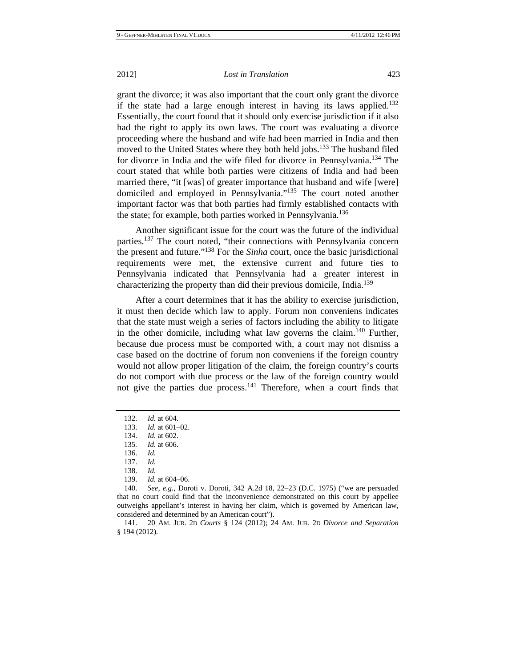grant the divorce; it was also important that the court only grant the divorce if the state had a large enough interest in having its laws applied.<sup>132</sup> Essentially, the court found that it should only exercise jurisdiction if it also had the right to apply its own laws. The court was evaluating a divorce proceeding where the husband and wife had been married in India and then moved to the United States where they both held jobs.<sup>133</sup> The husband filed for divorce in India and the wife filed for divorce in Pennsylvania.134 The court stated that while both parties were citizens of India and had been married there, "it [was] of greater importance that husband and wife [were] domiciled and employed in Pennsylvania."135 The court noted another important factor was that both parties had firmly established contacts with the state; for example, both parties worked in Pennsylvania.<sup>136</sup>

Another significant issue for the court was the future of the individual parties.<sup>137</sup> The court noted, "their connections with Pennsylvania concern the present and future."138 For the *Sinha* court, once the basic jurisdictional requirements were met, the extensive current and future ties to Pennsylvania indicated that Pennsylvania had a greater interest in characterizing the property than did their previous domicile, India.<sup>139</sup>

After a court determines that it has the ability to exercise jurisdiction, it must then decide which law to apply. Forum non conveniens indicates that the state must weigh a series of factors including the ability to litigate in the other domicile, including what law governs the claim.<sup>140</sup> Further, because due process must be comported with, a court may not dismiss a case based on the doctrine of forum non conveniens if the foreign country would not allow proper litigation of the claim, the foreign country's courts do not comport with due process or the law of the foreign country would not give the parties due process. $141$  Therefore, when a court finds that

 <sup>132.</sup> *Id.* at 604.

 <sup>133.</sup> *Id.* at 601–02.

 <sup>134.</sup> *Id.* at 602.

<sup>135</sup>*. Id.* at 606.

 <sup>136.</sup> *Id.*

 <sup>137.</sup> *Id.*

 <sup>138.</sup> *Id.*

 <sup>139.</sup> *Id.* at 604–06.

 <sup>140.</sup> *See, e.g.*, Doroti v. Doroti, 342 A.2d 18, 22–23 (D.C. 1975) ("we are persuaded that no court could find that the inconvenience demonstrated on this court by appellee outweighs appellant's interest in having her claim, which is governed by American law, considered and determined by an American court").

 <sup>141. 20</sup> AM. JUR. 2D *Courts* § 124 (2012); 24 AM. JUR. 2D *Divorce and Separation*  § 194 (2012).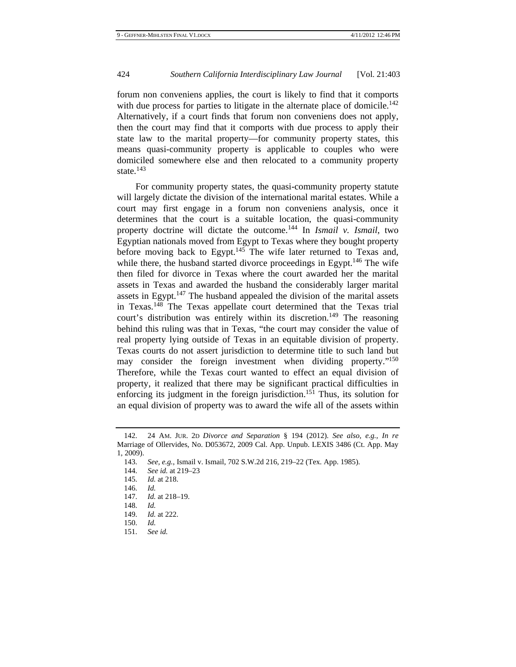forum non conveniens applies, the court is likely to find that it comports with due process for parties to litigate in the alternate place of domicile.<sup>142</sup> Alternatively, if a court finds that forum non conveniens does not apply, then the court may find that it comports with due process to apply their state law to the marital property—for community property states, this means quasi-community property is applicable to couples who were domiciled somewhere else and then relocated to a community property state. $143$ 

For community property states, the quasi-community property statute will largely dictate the division of the international marital estates. While a court may first engage in a forum non conveniens analysis, once it determines that the court is a suitable location, the quasi-community property doctrine will dictate the outcome.144 In *Ismail v. Ismail*, two Egyptian nationals moved from Egypt to Texas where they bought property before moving back to Egypt.<sup>145</sup> The wife later returned to Texas and, while there, the husband started divorce proceedings in Egypt.<sup>146</sup> The wife then filed for divorce in Texas where the court awarded her the marital assets in Texas and awarded the husband the considerably larger marital assets in Egypt.<sup>147</sup> The husband appealed the division of the marital assets in Texas.148 The Texas appellate court determined that the Texas trial court's distribution was entirely within its discretion.<sup>149</sup> The reasoning behind this ruling was that in Texas, "the court may consider the value of real property lying outside of Texas in an equitable division of property. Texas courts do not assert jurisdiction to determine title to such land but may consider the foreign investment when dividing property."<sup>150</sup> Therefore, while the Texas court wanted to effect an equal division of property, it realized that there may be significant practical difficulties in enforcing its judgment in the foreign jurisdiction.<sup>151</sup> Thus, its solution for an equal division of property was to award the wife all of the assets within

 <sup>142. 24</sup> AM. JUR. 2D *Divorce and Separation* § 194 (2012). *See also, e.g.*, *In re* Marriage of Ollervides, No. D053672, 2009 Cal. App. Unpub. LEXIS 3486 (Ct. App. May 1, 2009).

 <sup>143.</sup> *See, e.g.*, Ismail v. Ismail, 702 S.W.2d 216, 219–22 (Tex. App. 1985).

 <sup>144.</sup> *See id.* at 219–23

 <sup>145.</sup> *Id.* at 218.

 <sup>146.</sup> *Id.*

 <sup>147.</sup> *Id.* at 218–19.

 <sup>148.</sup> *Id.*

 <sup>149.</sup> *Id.* at 222.

 <sup>150.</sup> *Id.*

 <sup>151.</sup> *See id.*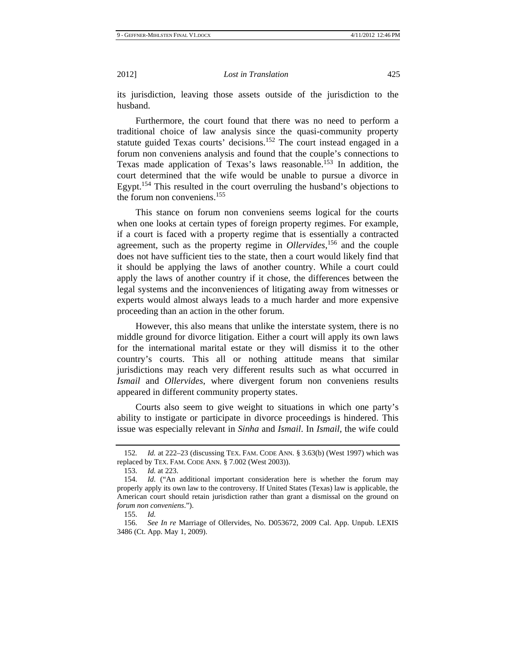its jurisdiction, leaving those assets outside of the jurisdiction to the husband.

Furthermore, the court found that there was no need to perform a traditional choice of law analysis since the quasi-community property statute guided Texas courts' decisions.<sup>152</sup> The court instead engaged in a forum non conveniens analysis and found that the couple's connections to Texas made application of Texas's laws reasonable.<sup>153</sup> In addition, the court determined that the wife would be unable to pursue a divorce in Egypt.154 This resulted in the court overruling the husband's objections to the forum non conveniens.<sup>155</sup>

This stance on forum non conveniens seems logical for the courts when one looks at certain types of foreign property regimes. For example, if a court is faced with a property regime that is essentially a contracted agreement, such as the property regime in *Ollervides*, 156 and the couple does not have sufficient ties to the state, then a court would likely find that it should be applying the laws of another country. While a court could apply the laws of another country if it chose, the differences between the legal systems and the inconveniences of litigating away from witnesses or experts would almost always leads to a much harder and more expensive proceeding than an action in the other forum.

However, this also means that unlike the interstate system, there is no middle ground for divorce litigation. Either a court will apply its own laws for the international marital estate or they will dismiss it to the other country's courts. This all or nothing attitude means that similar jurisdictions may reach very different results such as what occurred in *Ismail* and *Ollervides*, where divergent forum non conveniens results appeared in different community property states.

Courts also seem to give weight to situations in which one party's ability to instigate or participate in divorce proceedings is hindered. This issue was especially relevant in *Sinha* and *Ismail*. In *Ismail*, the wife could

<sup>152</sup>*. Id.* at 222–23 (discussing TEX. FAM. CODE ANN. § 3.63(b) (West 1997) which was replaced by TEX. FAM. CODE ANN. § 7.002 (West 2003)).

 <sup>153.</sup> *Id.* at 223.

 <sup>154.</sup> *Id.* ("An additional important consideration here is whether the forum may properly apply its own law to the controversy. If United States (Texas) law is applicable, the American court should retain jurisdiction rather than grant a dismissal on the ground on *forum non conveniens*.").

 <sup>155.</sup> *Id.*

 <sup>156.</sup> *See In re* Marriage of Ollervides, No. D053672, 2009 Cal. App. Unpub. LEXIS 3486 (Ct. App. May 1, 2009).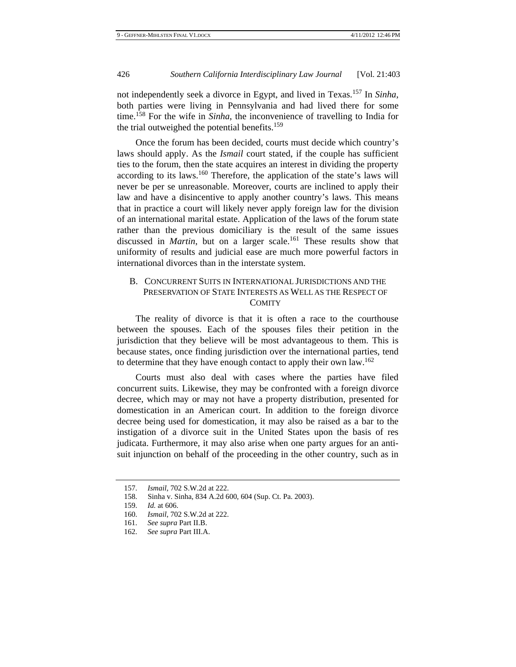not independently seek a divorce in Egypt, and lived in Texas.157 In *Sinha*, both parties were living in Pennsylvania and had lived there for some time.158 For the wife in *Sinha*, the inconvenience of travelling to India for the trial outweighed the potential benefits.<sup>159</sup>

Once the forum has been decided, courts must decide which country's laws should apply. As the *Ismail* court stated, if the couple has sufficient ties to the forum, then the state acquires an interest in dividing the property according to its laws.<sup>160</sup> Therefore, the application of the state's laws will never be per se unreasonable. Moreover, courts are inclined to apply their law and have a disincentive to apply another country's laws. This means that in practice a court will likely never apply foreign law for the division of an international marital estate. Application of the laws of the forum state rather than the previous domiciliary is the result of the same issues discussed in *Martin*, but on a larger scale.<sup>161</sup> These results show that uniformity of results and judicial ease are much more powerful factors in international divorces than in the interstate system.

## B. CONCURRENT SUITS IN INTERNATIONAL JURISDICTIONS AND THE PRESERVATION OF STATE INTERESTS AS WELL AS THE RESPECT OF **COMITY**

The reality of divorce is that it is often a race to the courthouse between the spouses. Each of the spouses files their petition in the jurisdiction that they believe will be most advantageous to them. This is because states, once finding jurisdiction over the international parties, tend to determine that they have enough contact to apply their own law.<sup>162</sup>

Courts must also deal with cases where the parties have filed concurrent suits. Likewise, they may be confronted with a foreign divorce decree, which may or may not have a property distribution, presented for domestication in an American court. In addition to the foreign divorce decree being used for domestication, it may also be raised as a bar to the instigation of a divorce suit in the United States upon the basis of res judicata. Furthermore, it may also arise when one party argues for an antisuit injunction on behalf of the proceeding in the other country, such as in

 <sup>157.</sup> *Ismail*, 702 S.W.2d at 222.

 <sup>158.</sup> Sinha v. Sinha, 834 A.2d 600, 604 (Sup. Ct. Pa. 2003).

 <sup>159.</sup> *Id.* at 606.

 <sup>160.</sup> *Ismail*, 702 S.W.2d at 222.

 <sup>161.</sup> *See supra* Part II.B.

 <sup>162.</sup> *See supra* Part III.A.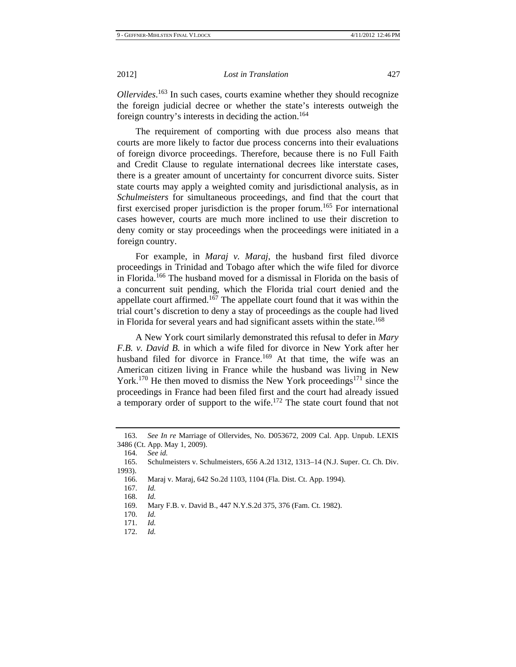*Ollervides*. 163 In such cases, courts examine whether they should recognize the foreign judicial decree or whether the state's interests outweigh the foreign country's interests in deciding the action.164

The requirement of comporting with due process also means that courts are more likely to factor due process concerns into their evaluations of foreign divorce proceedings. Therefore, because there is no Full Faith and Credit Clause to regulate international decrees like interstate cases, there is a greater amount of uncertainty for concurrent divorce suits. Sister state courts may apply a weighted comity and jurisdictional analysis, as in *Schulmeisters* for simultaneous proceedings, and find that the court that first exercised proper jurisdiction is the proper forum.<sup>165</sup> For international cases however, courts are much more inclined to use their discretion to deny comity or stay proceedings when the proceedings were initiated in a foreign country.

For example, in *Maraj v. Maraj*, the husband first filed divorce proceedings in Trinidad and Tobago after which the wife filed for divorce in Florida.166 The husband moved for a dismissal in Florida on the basis of a concurrent suit pending, which the Florida trial court denied and the appellate court affirmed.<sup>167</sup> The appellate court found that it was within the trial court's discretion to deny a stay of proceedings as the couple had lived in Florida for several years and had significant assets within the state.<sup>168</sup>

A New York court similarly demonstrated this refusal to defer in *Mary F.B. v. David B.* in which a wife filed for divorce in New York after her husband filed for divorce in France.<sup>169</sup> At that time, the wife was an American citizen living in France while the husband was living in New York.<sup>170</sup> He then moved to dismiss the New York proceedings<sup>171</sup> since the proceedings in France had been filed first and the court had already issued a temporary order of support to the wife.<sup>172</sup> The state court found that not

164. *See id.*

 <sup>163.</sup> *See In re* Marriage of Ollervides, No. D053672, 2009 Cal. App. Unpub. LEXIS 3486 (Ct. App. May 1, 2009).

 <sup>165.</sup> Schulmeisters v. Schulmeisters, 656 A.2d 1312, 1313–14 (N.J. Super. Ct. Ch. Div. 1993).

 <sup>166.</sup> Maraj v. Maraj, 642 So.2d 1103, 1104 (Fla. Dist. Ct. App. 1994).

 <sup>167.</sup> *Id.* 

 <sup>168.</sup> *Id.*

 <sup>169.</sup> Mary F.B. v. David B., 447 N.Y.S.2d 375, 376 (Fam. Ct. 1982).

 <sup>170.</sup> *Id.*

 <sup>171.</sup> *Id.*

 <sup>172.</sup> *Id.*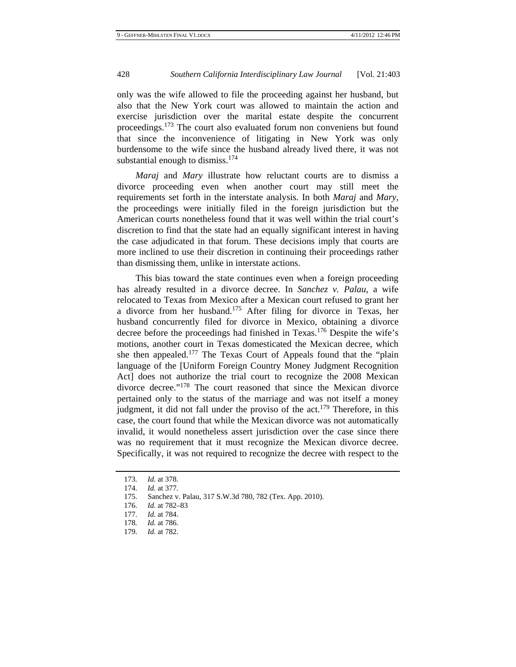only was the wife allowed to file the proceeding against her husband, but also that the New York court was allowed to maintain the action and exercise jurisdiction over the marital estate despite the concurrent proceedings.173 The court also evaluated forum non conveniens but found that since the inconvenience of litigating in New York was only burdensome to the wife since the husband already lived there, it was not substantial enough to dismiss. $174$ 

*Maraj* and *Mary* illustrate how reluctant courts are to dismiss a divorce proceeding even when another court may still meet the requirements set forth in the interstate analysis. In both *Maraj* and *Mary*, the proceedings were initially filed in the foreign jurisdiction but the American courts nonetheless found that it was well within the trial court's discretion to find that the state had an equally significant interest in having the case adjudicated in that forum. These decisions imply that courts are more inclined to use their discretion in continuing their proceedings rather than dismissing them, unlike in interstate actions.

This bias toward the state continues even when a foreign proceeding has already resulted in a divorce decree. In *Sanchez v. Palau*, a wife relocated to Texas from Mexico after a Mexican court refused to grant her a divorce from her husband.175 After filing for divorce in Texas, her husband concurrently filed for divorce in Mexico, obtaining a divorce decree before the proceedings had finished in Texas.<sup>176</sup> Despite the wife's motions, another court in Texas domesticated the Mexican decree, which she then appealed.<sup>177</sup> The Texas Court of Appeals found that the "plain" language of the [Uniform Foreign Country Money Judgment Recognition Act] does not authorize the trial court to recognize the 2008 Mexican divorce decree."<sup>178</sup> The court reasoned that since the Mexican divorce pertained only to the status of the marriage and was not itself a money judgment, it did not fall under the proviso of the  $act.<sup>179</sup>$  Therefore, in this case, the court found that while the Mexican divorce was not automatically invalid, it would nonetheless assert jurisdiction over the case since there was no requirement that it must recognize the Mexican divorce decree. Specifically, it was not required to recognize the decree with respect to the

 <sup>173.</sup> *Id.* at 378.

 <sup>174.</sup> *Id.* at 377.

 <sup>175.</sup> Sanchez v. Palau, 317 S.W.3d 780, 782 (Tex. App. 2010).

 <sup>176.</sup> *Id.* at 782–83

 <sup>177.</sup> *Id.* at 784.

<sup>178</sup>*. Id.* at 786.

 <sup>179.</sup> *Id.* at 782.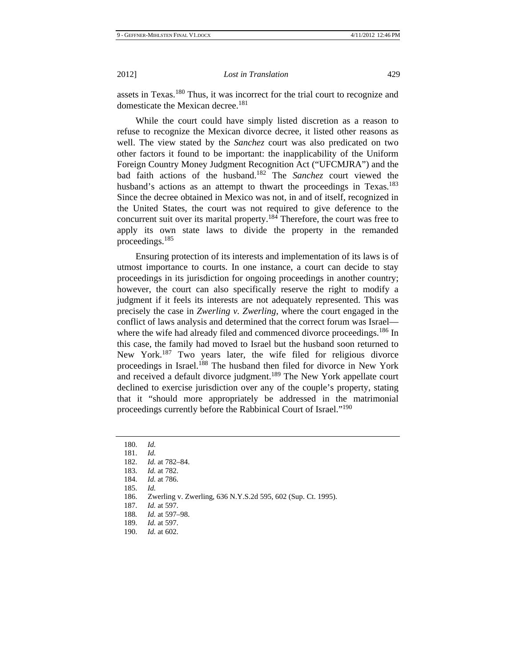assets in Texas.180 Thus, it was incorrect for the trial court to recognize and domesticate the Mexican decree.<sup>181</sup>

While the court could have simply listed discretion as a reason to refuse to recognize the Mexican divorce decree, it listed other reasons as well. The view stated by the *Sanchez* court was also predicated on two other factors it found to be important: the inapplicability of the Uniform Foreign Country Money Judgment Recognition Act ("UFCMJRA") and the bad faith actions of the husband.182 The *Sanchez* court viewed the husband's actions as an attempt to thwart the proceedings in Texas.<sup>183</sup> Since the decree obtained in Mexico was not, in and of itself, recognized in the United States, the court was not required to give deference to the concurrent suit over its marital property.184 Therefore, the court was free to apply its own state laws to divide the property in the remanded proceedings.<sup>185</sup>

Ensuring protection of its interests and implementation of its laws is of utmost importance to courts. In one instance, a court can decide to stay proceedings in its jurisdiction for ongoing proceedings in another country; however, the court can also specifically reserve the right to modify a judgment if it feels its interests are not adequately represented. This was precisely the case in *Zwerling v. Zwerling*, where the court engaged in the conflict of laws analysis and determined that the correct forum was Israel where the wife had already filed and commenced divorce proceedings.<sup>186</sup> In this case, the family had moved to Israel but the husband soon returned to New York.<sup>187</sup> Two years later, the wife filed for religious divorce proceedings in Israel.<sup>188</sup> The husband then filed for divorce in New York and received a default divorce judgment.<sup>189</sup> The New York appellate court declined to exercise jurisdiction over any of the couple's property, stating that it "should more appropriately be addressed in the matrimonial proceedings currently before the Rabbinical Court of Israel."<sup>190</sup>

 <sup>180.</sup> *Id.*

 <sup>181.</sup> *Id.*

 <sup>182.</sup> *Id.* at 782–84.

 <sup>183.</sup> *Id.* at 782.

 <sup>184.</sup> *Id.* at 786.

 <sup>185.</sup> *Id.* 

 <sup>186.</sup> Zwerling v. Zwerling, 636 N.Y.S.2d 595, 602 (Sup. Ct. 1995).

 <sup>187.</sup> *Id.* at 597.

<sup>188</sup>*. Id.* at 597–98.

 <sup>189.</sup> *Id.* at 597.

 <sup>190.</sup> *Id.* at 602.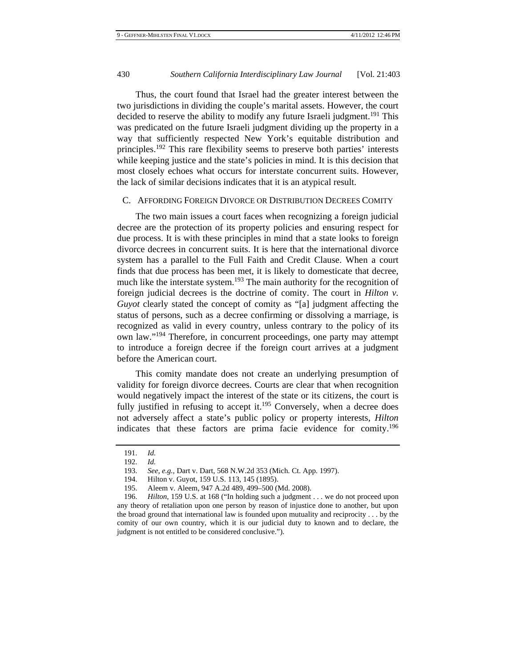Thus, the court found that Israel had the greater interest between the two jurisdictions in dividing the couple's marital assets. However, the court decided to reserve the ability to modify any future Israeli judgment.<sup>191</sup> This was predicated on the future Israeli judgment dividing up the property in a way that sufficiently respected New York's equitable distribution and principles.192 This rare flexibility seems to preserve both parties' interests while keeping justice and the state's policies in mind. It is this decision that most closely echoes what occurs for interstate concurrent suits. However, the lack of similar decisions indicates that it is an atypical result.

## C. AFFORDING FOREIGN DIVORCE OR DISTRIBUTION DECREES COMITY

The two main issues a court faces when recognizing a foreign judicial decree are the protection of its property policies and ensuring respect for due process. It is with these principles in mind that a state looks to foreign divorce decrees in concurrent suits. It is here that the international divorce system has a parallel to the Full Faith and Credit Clause. When a court finds that due process has been met, it is likely to domesticate that decree, much like the interstate system.<sup>193</sup> The main authority for the recognition of foreign judicial decrees is the doctrine of comity. The court in *Hilton v. Guyot* clearly stated the concept of comity as "[a] judgment affecting the status of persons, such as a decree confirming or dissolving a marriage, is recognized as valid in every country, unless contrary to the policy of its own law."194 Therefore, in concurrent proceedings, one party may attempt to introduce a foreign decree if the foreign court arrives at a judgment before the American court.

This comity mandate does not create an underlying presumption of validity for foreign divorce decrees. Courts are clear that when recognition would negatively impact the interest of the state or its citizens, the court is fully justified in refusing to accept it.<sup>195</sup> Conversely, when a decree does not adversely affect a state's public policy or property interests, *Hilton* indicates that these factors are prima facie evidence for comity.<sup>196</sup>

 <sup>191.</sup> *Id.*

 <sup>192.</sup> *Id.*

 <sup>193.</sup> *See, e.g.*, Dart v. Dart, 568 N.W.2d 353 (Mich. Ct. App. 1997).

 <sup>194.</sup> Hilton v. Guyot, 159 U.S. 113, 145 (1895).

 <sup>195.</sup> Aleem v. Aleem, 947 A.2d 489, 499–500 (Md. 2008).

 <sup>196.</sup> *Hilton*, 159 U.S. at 168 ("In holding such a judgment . . . we do not proceed upon any theory of retaliation upon one person by reason of injustice done to another, but upon the broad ground that international law is founded upon mutuality and reciprocity . . . by the comity of our own country, which it is our judicial duty to known and to declare, the judgment is not entitled to be considered conclusive.").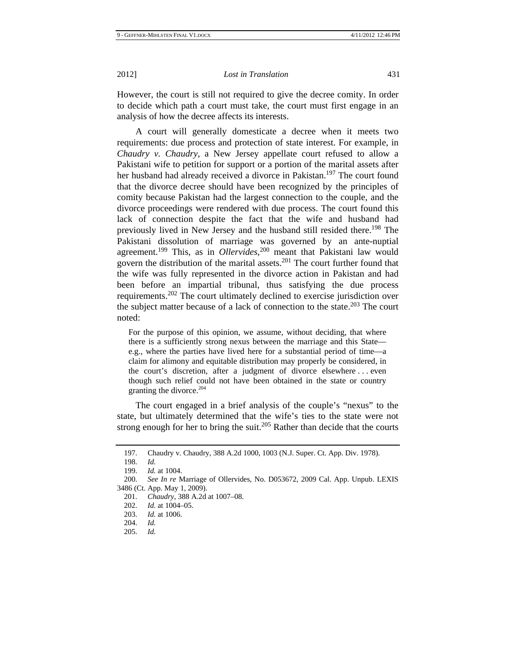However, the court is still not required to give the decree comity. In order to decide which path a court must take, the court must first engage in an analysis of how the decree affects its interests.

A court will generally domesticate a decree when it meets two requirements: due process and protection of state interest. For example, in *Chaudry v. Chaudry*, a New Jersey appellate court refused to allow a Pakistani wife to petition for support or a portion of the marital assets after her husband had already received a divorce in Pakistan.<sup>197</sup> The court found that the divorce decree should have been recognized by the principles of comity because Pakistan had the largest connection to the couple, and the divorce proceedings were rendered with due process. The court found this lack of connection despite the fact that the wife and husband had previously lived in New Jersey and the husband still resided there.198 The Pakistani dissolution of marriage was governed by an ante-nuptial agreement.199 This, as in *Ollervides*, 200 meant that Pakistani law would govern the distribution of the marital assets.201 The court further found that the wife was fully represented in the divorce action in Pakistan and had been before an impartial tribunal, thus satisfying the due process requirements.202 The court ultimately declined to exercise jurisdiction over the subject matter because of a lack of connection to the state.<sup>203</sup> The court noted:

For the purpose of this opinion, we assume, without deciding, that where there is a sufficiently strong nexus between the marriage and this State e.g., where the parties have lived here for a substantial period of time—a claim for alimony and equitable distribution may properly be considered, in the court's discretion, after a judgment of divorce elsewhere . . . even though such relief could not have been obtained in the state or country granting the divorce.204

The court engaged in a brief analysis of the couple's "nexus" to the state, but ultimately determined that the wife's ties to the state were not strong enough for her to bring the suit.<sup>205</sup> Rather than decide that the courts

 <sup>197.</sup> Chaudry v. Chaudry, 388 A.2d 1000, 1003 (N.J. Super. Ct. App. Div. 1978).

 <sup>198.</sup> *Id.*

 <sup>199.</sup> *Id.* at 1004.

 <sup>200.</sup> *See In re* Marriage of Ollervides, No. D053672, 2009 Cal. App. Unpub. LEXIS 3486 (Ct. App. May 1, 2009).

 <sup>201.</sup> *Chaudry*, 388 A.2d at 1007–08.

 <sup>202.</sup> *Id.* at 1004–05.

 <sup>203.</sup> *Id.* at 1006.

 <sup>204.</sup> *Id.*

 <sup>205.</sup> *Id.*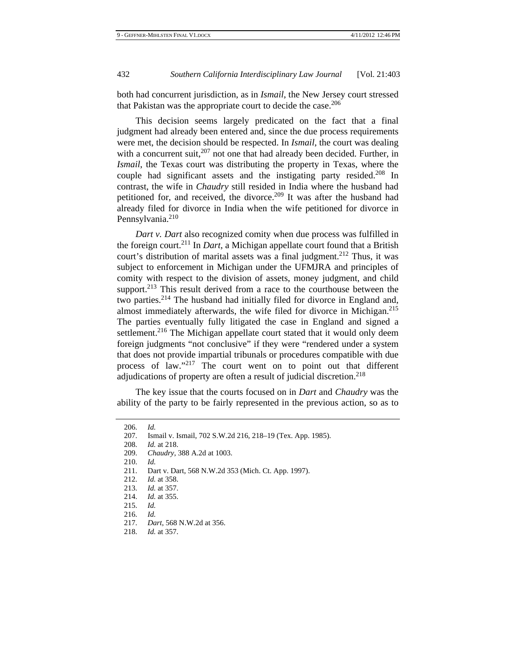both had concurrent jurisdiction, as in *Ismail*, the New Jersey court stressed that Pakistan was the appropriate court to decide the case. $206$ 

This decision seems largely predicated on the fact that a final judgment had already been entered and, since the due process requirements were met, the decision should be respected. In *Ismail*, the court was dealing with a concurrent suit,<sup>207</sup> not one that had already been decided. Further, in *Ismail*, the Texas court was distributing the property in Texas, where the couple had significant assets and the instigating party resided.<sup>208</sup> In contrast, the wife in *Chaudry* still resided in India where the husband had petitioned for, and received, the divorce.<sup>209</sup> It was after the husband had already filed for divorce in India when the wife petitioned for divorce in Pennsylvania.<sup>210</sup>

*Dart v. Dart* also recognized comity when due process was fulfilled in the foreign court.211 In *Dart*, a Michigan appellate court found that a British court's distribution of marital assets was a final judgment.<sup>212</sup> Thus, it was subject to enforcement in Michigan under the UFMJRA and principles of comity with respect to the division of assets, money judgment, and child support. $2^{13}$  This result derived from a race to the courthouse between the two parties.214 The husband had initially filed for divorce in England and, almost immediately afterwards, the wife filed for divorce in Michigan.<sup>215</sup> The parties eventually fully litigated the case in England and signed a settlement.<sup>216</sup> The Michigan appellate court stated that it would only deem foreign judgments "not conclusive" if they were "rendered under a system that does not provide impartial tribunals or procedures compatible with due process of law."217 The court went on to point out that different adjudications of property are often a result of judicial discretion.<sup>218</sup>

The key issue that the courts focused on in *Dart* and *Chaudry* was the ability of the party to be fairly represented in the previous action, so as to

 208. *Id.* at 218. 209. *Chaudry*, 388 A.2d at 1003.

210. *Id.* 

216. *Id.*

 <sup>206.</sup> *Id.*

 <sup>207.</sup> Ismail v. Ismail, 702 S.W.2d 216, 218–19 (Tex. App. 1985).

 <sup>211.</sup> Dart v. Dart, 568 N.W.2d 353 (Mich. Ct. App. 1997).

 <sup>212.</sup> *Id.* at 358.

 <sup>213.</sup> *Id.* at 357.

 <sup>214.</sup> *Id.* at 355.

 <sup>215.</sup> *Id.*

 <sup>217.</sup> *Dart*, 568 N.W.2d at 356.

 <sup>218.</sup> *Id.* at 357.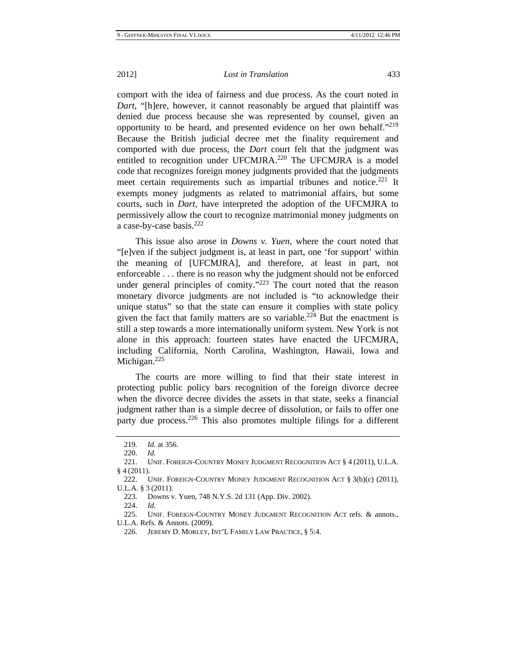comport with the idea of fairness and due process. As the court noted in *Dart*, "[h]ere, however, it cannot reasonably be argued that plaintiff was denied due process because she was represented by counsel, given an opportunity to be heard, and presented evidence on her own behalf."219 Because the British judicial decree met the finality requirement and comported with due process, the *Dart* court felt that the judgment was entitled to recognition under UFCMJRA.<sup>220</sup> The UFCMJRA is a model code that recognizes foreign money judgments provided that the judgments meet certain requirements such as impartial tribunes and notice.<sup>221</sup> It exempts money judgments as related to matrimonial affairs, but some courts, such in *Dart*, have interpreted the adoption of the UFCMJRA to permissively allow the court to recognize matrimonial money judgments on a case-by-case basis.<sup>222</sup>

This issue also arose in *Downs v. Yuen*, where the court noted that "[e]ven if the subject judgment is, at least in part, one 'for support' within the meaning of [UFCMJRA], and therefore, at least in part, not enforceable . . . there is no reason why the judgment should not be enforced under general principles of comity."<sup>223</sup> The court noted that the reason monetary divorce judgments are not included is "to acknowledge their unique status" so that the state can ensure it complies with state policy given the fact that family matters are so variable.<sup>224</sup> But the enactment is still a step towards a more internationally uniform system. New York is not alone in this approach: fourteen states have enacted the UFCMJRA, including California, North Carolina, Washington, Hawaii, Iowa and Michigan.<sup>225</sup>

The courts are more willing to find that their state interest in protecting public policy bars recognition of the foreign divorce decree when the divorce decree divides the assets in that state, seeks a financial judgment rather than is a simple decree of dissolution, or fails to offer one party due process.<sup>226</sup> This also promotes multiple filings for a different

224. *Id.*

 225. UNIF. FOREIGN-COUNTRY MONEY JUDGMENT RECOGNITION ACT refs. & annots., U.L.A. Refs. & Annots. (2009).

<sup>219</sup>*. Id.* at 356.

 <sup>220.</sup> *Id.* 

 <sup>221.</sup> UNIF. FOREIGN-COUNTRY MONEY JUDGMENT RECOGNITION ACT § 4 (2011), U.L.A. § 4 (2011).

<sup>222.</sup> UNIF. FOREIGN-COUNTRY MONEY JUDGMENT RECOGNITION ACT  $\S 3(b)(c)$  (2011), U.L.A. § 3 (2011).

 <sup>223.</sup> Downs v. Yuen, 748 N.Y.S. 2d 131 (App. Div. 2002).

 <sup>226.</sup> JEREMY D. MORLEY, INT'L FAMILY LAW PRACTICE, § 5:4.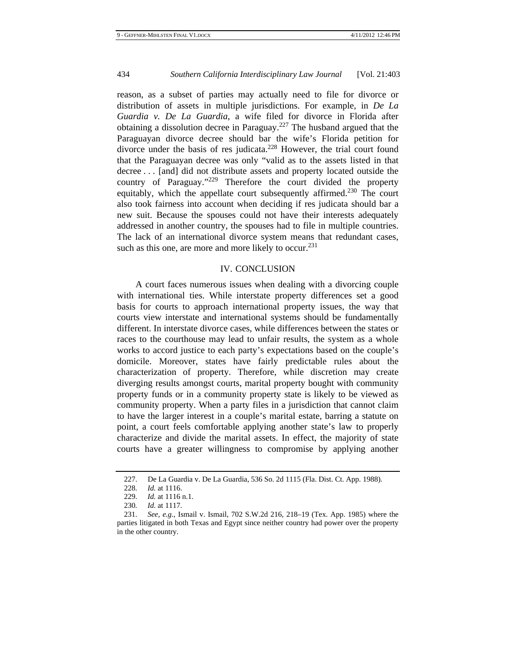reason, as a subset of parties may actually need to file for divorce or distribution of assets in multiple jurisdictions. For example, in *De La Guardia v. De La Guardia*, a wife filed for divorce in Florida after obtaining a dissolution decree in Paraguay.<sup>227</sup> The husband argued that the Paraguayan divorce decree should bar the wife's Florida petition for divorce under the basis of res judicata.<sup>228</sup> However, the trial court found that the Paraguayan decree was only "valid as to the assets listed in that decree . . . [and] did not distribute assets and property located outside the country of Paraguay."229 Therefore the court divided the property equitably, which the appellate court subsequently affirmed.<sup>230</sup> The court also took fairness into account when deciding if res judicata should bar a new suit. Because the spouses could not have their interests adequately addressed in another country, the spouses had to file in multiple countries. The lack of an international divorce system means that redundant cases, such as this one, are more and more likely to occur.<sup>231</sup>

## IV. CONCLUSION

A court faces numerous issues when dealing with a divorcing couple with international ties. While interstate property differences set a good basis for courts to approach international property issues, the way that courts view interstate and international systems should be fundamentally different. In interstate divorce cases, while differences between the states or races to the courthouse may lead to unfair results, the system as a whole works to accord justice to each party's expectations based on the couple's domicile. Moreover, states have fairly predictable rules about the characterization of property. Therefore, while discretion may create diverging results amongst courts, marital property bought with community property funds or in a community property state is likely to be viewed as community property. When a party files in a jurisdiction that cannot claim to have the larger interest in a couple's marital estate, barring a statute on point, a court feels comfortable applying another state's law to properly characterize and divide the marital assets. In effect, the majority of state courts have a greater willingness to compromise by applying another

 <sup>227.</sup> De La Guardia v. De La Guardia, 536 So. 2d 1115 (Fla. Dist. Ct. App. 1988).

 <sup>228.</sup> *Id.* at 1116.

 <sup>229.</sup> *Id.* at 1116 n.1.

<sup>230</sup>*. Id.* at 1117.

 <sup>231.</sup> *See, e.g.*, Ismail v. Ismail, 702 S.W.2d 216, 218–19 (Tex. App. 1985) where the parties litigated in both Texas and Egypt since neither country had power over the property in the other country.